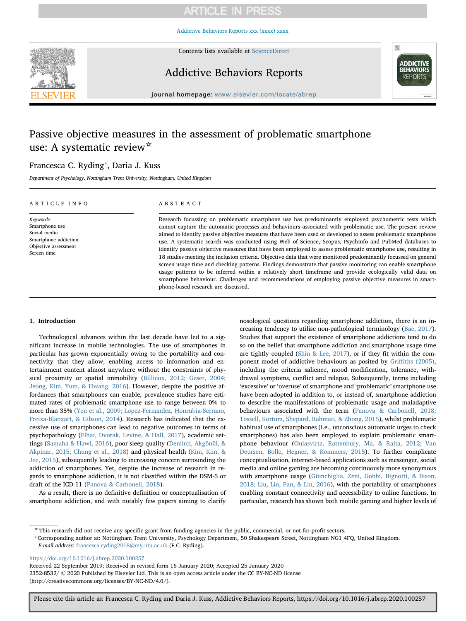[Addictive Behaviors Reports xxx \(xxxx\) xxxx](https://doi.org/10.1016/j.abrep.2020.100257)



Contents lists available at [ScienceDirect](http://www.sciencedirect.com/science/journal/23528532)

Addictive Behaviors Reports



journal homepage: [www.elsevier.com/locate/abrep](https://www.elsevier.com/locate/abrep)

# Passive objective measures in the assessment of problematic smartphone use: A systematic review☆

phone-based research are discussed.

## Francesca C. Ryding<sup>\*</sup>, Daria J. Kuss

Department of Psychology, Nottingham Trent University, Nottingham, United Kingdom

| ARTICLE INFO                                                                                               | ABSTRACT                                                                                                                                                                                                                                                                                                                                                                                                                                                                                                                                                                                                                                                                                                                                                                                                                                                                                                                                                                                                                |
|------------------------------------------------------------------------------------------------------------|-------------------------------------------------------------------------------------------------------------------------------------------------------------------------------------------------------------------------------------------------------------------------------------------------------------------------------------------------------------------------------------------------------------------------------------------------------------------------------------------------------------------------------------------------------------------------------------------------------------------------------------------------------------------------------------------------------------------------------------------------------------------------------------------------------------------------------------------------------------------------------------------------------------------------------------------------------------------------------------------------------------------------|
| Keywords:<br>Smartphone use<br>Social media<br>Smartphone addiction<br>Objective assessment<br>Screen time | Research focussing on problematic smartphone use has predominantly employed psychometric tests which<br>cannot capture the automatic processes and behaviours associated with problematic use. The present review<br>aimed to identify passive objective measures that have been used or developed to assess problematic smartphone<br>use. A systematic search was conducted using Web of Science, Scopus, PsychInfo and PubMed databases to<br>identify passive objective measures that have been employed to assess problematic smartphone use, resulting in<br>18 studies meeting the inclusion criteria. Objective data that were monitored predominantly focussed on general<br>screen usage time and checking patterns. Findings demonstrate that passive monitoring can enable smartphone<br>usage patterns to be inferred within a relatively short timeframe and provide ecologically valid data on<br>smartphone behaviour. Challenges and recommendations of employing passive objective measures in smart- |

## 1. Introduction

Technological advances within the last decade have led to a significant increase in mobile technologies. The use of smartphones in particular has grown exponentially owing to the portability and connectivity that they allow, enabling access to information and entertainment content almost anywhere without the constraints of physical proximity or spatial immobility [\(Billieux, 2012; Geser, 2004;](#page-16-0) [Jeong, Kim, Yum, & Hwang, 2016](#page-16-0)). However, despite the positive affordances that smartphones can enable, prevalence studies have estimated rates of problematic smartphone use to range between 0% to more than 35% ([Yen et al., 2009; Lopez-Fernandez, Honrubia-Serrano,](#page-17-0) [Freixa-Blanxart, & Gibson, 2014](#page-17-0)). Research has indicated that the excessive use of smartphones can lead to negative outcomes in terms of psychopathology [\(Elhai, Dvorak, Levine, & Hall, 2017](#page-16-1)), academic settings [\(Samaha & Hawi, 2016](#page-17-1)), poor sleep quality [\(Demirci, Akgönül, &](#page-16-2) [Akpinar, 2015; Chung et al., 2018\)](#page-16-2) and physical health ([Kim, Kim, &](#page-16-3) [Jee, 2015\)](#page-16-3), subsequently leading to increasing concern surrounding the addiction of smartphones. Yet, despite the increase of research in regards to smartphone addiction, it is not classified within the DSM-5 or draft of the ICD-11 [\(Panova & Carbonell, 2018\)](#page-17-2).

As a result, there is no definitive definition or conceptualisation of smartphone addiction, and with notably few papers aiming to clarify

nosological questions regarding smartphone addiction, there is an increasing tendency to utilise non-pathological terminology ([Bae, 2017](#page-16-4)). Studies that support the existence of smartphone addictions tend to do so on the belief that smartphone addiction and smartphone usage time are tightly coupled ([Shin & Lee, 2017\)](#page-17-3), or if they fit within the component model of addictive behaviours as posited by Griffi[ths \(2005\)](#page-16-5), including the criteria salience, mood modification, tolerance, withdrawal symptoms, conflict and relapse. Subsequently, terms including 'excessive' or 'overuse' of smartphone and 'problematic' smartphone use have been adopted in addition to, or instead of, smartphone addiction to describe the manifestations of problematic usage and maladaptive behaviours associated with the term [\(Panova & Carbonell, 2018;](#page-17-2) [Tossell, Kortum, Shepard, Rahmati, & Zhong, 2015\)](#page-17-2), whilst problematic habitual use of smartphones (i.e., unconscious automatic urges to check smartphones) has also been employed to explain problematic smartphone behaviour [\(Oulasvirta, Rattenbury, Ma, & Raita, 2012; Van](#page-17-4) [Deursen, Bolle, Hegner, & Kommers, 2015\)](#page-17-4). To further complicate conceptualisation, internet-based applications such as messenger, social media and online gaming are becoming continuously more synonymous with smartphone usage ([Giunchiglia, Zeni, Gobbi, Bignotti, & Bison,](#page-16-6) [2018; Liu, Lin, Pan, & Lin, 2016\)](#page-16-6), with the portability of smartphones enabling constant connectivity and accessibility to online functions. In particular, research has shown both mobile gaming and higher levels of

☆ This research did not receive any specific grant from funding agencies in the public, commercial, or not-for-profit sectors.

<span id="page-0-0"></span>⁎ Corresponding author at: Nottingham Trent University, Psychology Department, 50 Shakespeare Street, Nottingham NG1 4FQ, United Kingdom. E-mail address: [francesca.ryding2018@my.ntu.ac.uk](mailto:francesca.ryding2018@my.ntu.ac.uk) (F.C. Ryding).

<https://doi.org/10.1016/j.abrep.2020.100257>

Received 22 September 2019; Received in revised form 16 January 2020; Accepted 25 January 2020 2352-8532/ © 2020 Published by Elsevier Ltd. This is an open access article under the CC BY-NC-ND license (http://creativecommons.org/licenses/BY-NC-ND/4.0/).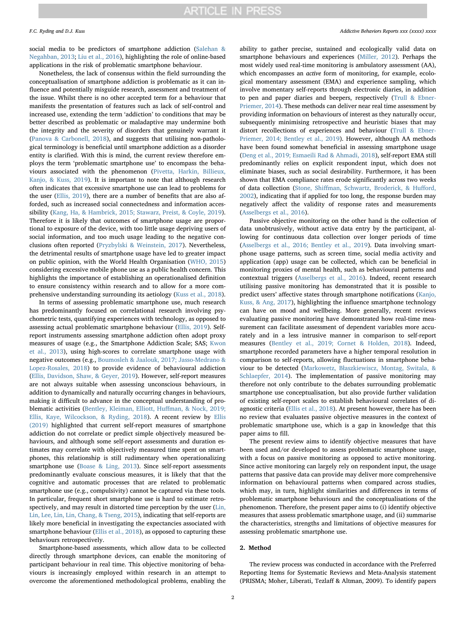social media to be predictors of smartphone addiction ([Salehan &](#page-17-5) [Negahban, 2013](#page-17-5); [Liu et al., 2016\)](#page-16-7), highlighting the role of online-based applications in the risk of problematic smartphone behaviour.

Nonetheless, the lack of consensus within the field surrounding the conceptualisation of smartphone addiction is problematic as it can influence and potentially misguide research, assessment and treatment of the issue. Whilst there is no other accepted term for a behaviour that manifests the presentation of features such as lack of self-control and increased use, extending the term 'addiction' to conditions that may be better described as problematic or maladaptive may undermine both the integrity and the severity of disorders that genuinely warrant it ([Panova & Carbonell, 2018](#page-17-2)), and suggests that utilising non-pathological terminology is beneficial until smartphone addiction as a disorder entity is clarified. With this is mind, the current review therefore employs the term 'problematic smartphone use' to encompass the behaviours associated with the phenomenon [\(Pivetta, Harkin, Billieux,](#page-17-6) [Kanjo, & Kuss, 2019](#page-17-6)). It is important to note that although research often indicates that excessive smartphone use can lead to problems for the user [\(Ellis, 2019](#page-16-8)), there are a number of benefits that are also afforded, such as increased social connectedness and information accessibility [\(Kang, Ha, & Hambrick, 2015; Stawarz, Preist, & Coyle, 2019](#page-16-9)). Therefore it is likely that outcomes of smartphone usage are proportional to exposure of the device, with too little usage depriving users of social information, and too much usage leading to the negative conclusions often reported ([Pryzbylski & Weinstein, 2017](#page-17-7)). Nevertheless, the detrimental results of smartphone usage have led to greater impact on public opinion, with the World Health Organisation [\(WHO, 2015\)](#page-17-8) considering excessive mobile phone use as a public health concern. This highlights the importance of establishing an operationalised definition to ensure consistency within research and to allow for a more comprehensive understanding surrounding its aetiology ([Kuss et al., 2018](#page-16-10)).

In terms of assessing problematic smartphone use, much research has predominantly focused on correlational research involving psychometric tests, quantifying experiences with technology, as opposed to assessing actual problematic smartphone behaviour [\(Ellis, 2019](#page-16-8)). Selfreport instruments assessing smartphone addiction often adopt proxy measures of usage (e.g., the Smartphone Addiction Scale; SAS; [Kwon](#page-16-11) [et al., 2013](#page-16-11)), using high-scores to correlate smartphone usage with negative outcomes (e.g., [Boumosleh & Jaalouk, 2017; Jasso-Medrano &](#page-16-12) [Lopez-Rosales, 2018\)](#page-16-12) to provide evidence of behavioural addiction ([Ellis, Davidson, Shaw, & Geyer, 2019](#page-16-13)). However, self-report measures are not always suitable when assessing unconscious behaviours, in addition to dynamically and naturally occurring changes in behaviours, making it difficult to advance in the conceptual understanding of problematic activities [\(Bentley, Kleiman, Elliott, Hu](#page-16-14)ffman, & Nock, 2019; [Ellis, Kaye, Wilcockson, & Ryding, 2018](#page-16-14)). A recent review by [Ellis](#page-16-8) [\(2019\)](#page-16-8) highlighted that current self-report measures of smartphone addiction do not correlate or predict simple objectively measured behaviours, and although some self-report assessments and duration estimates may correlate with objectively measured time spent on smartphones, this relationship is still rudimentary when operationalizing smartphone use ([Boase & Ling, 2013\)](#page-16-15). Since self-report assessments predominantly evaluate conscious measures, it is likely that that the cognitive and automatic processes that are related to problematic smartphone use (e.g., compulsivity) cannot be captured via these tools. In particular, frequent short smartphone use is hard to estimate retrospectively, and may result in distorted time perception by the user [\(Lin,](#page-16-16) [Lin, Lee, Lin, Lin, Chang, & Tseng, 2015\)](#page-16-16), indicating that self-reports are likely more beneficial in investigating the expectancies associated with smartphone behaviour ([Ellis et al., 2018](#page-16-17)), as opposed to capturing these behaviours retrospectively.

Smartphone-based assessments, which allow data to be collected directly through smartphone devices, can enable the monitoring of participant behaviour in real time. This objective monitoring of behaviours is increasingly employed within research in an attempt to overcome the aforementioned methodological problems, enabling the ability to gather precise, sustained and ecologically valid data on smartphone behaviours and experiences [\(Miller, 2012](#page-17-9)). Perhaps the most widely used real-time monitoring is ambulatory assessment (AA), which encompasses an active form of monitoring, for example, ecological momentary assessment (EMA) and experience sampling, which involve momentary self-reports through electronic diaries, in addition to pen and paper diaries and beepers, respectively [\(Trull & Ebner-](#page-17-10)[Priemer, 2014](#page-17-10)). These methods can deliver near real time assessment by providing information on behaviours of interest as they naturally occur, subsequently minimising retrospective and heuristic biases that may distort recollections of experiences and behaviour [\(Trull & Ebner-](#page-17-10)[Priemer, 2014; Bentley et al., 2019](#page-17-10)). However, although AA methods have been found somewhat beneficial in assessing smartphone usage ([Deng et al., 2019; Esmaeili Rad & Ahmadi, 2018\)](#page-16-18), self-report EMA still predominantly relies on explicit respondent input, which does not eliminate biases, such as social desirability. Furthermore, it has been shown that EMA compliance rates erode significantly across two weeks of data collection (Stone, Shiff[man, Schwartz, Broderick, & Hu](#page-17-11)fford, [2002\)](#page-17-11), indicating that if applied for too long, the response burden may negatively affect the validity of response rates and measurements ([Asselbergs et al., 2016\)](#page-16-19).

Passive objective monitoring on the other hand is the collection of data unobtrusively, without active data entry by the participant, allowing for continuous data collection over longer periods of time ([Asselbergs et al., 2016; Bentley et al., 2019](#page-16-19)). Data involving smartphone usage patterns, such as screen time, social media activity and application (app) usage can be collected, which can be beneficial in monitoring proxies of mental health, such as behavioural patterns and contextual triggers ([Asselbergs et al., 2016\)](#page-16-19). Indeed, recent research utilising passive monitoring has demonstrated that it is possible to predict users' affective states through smartphone notifications [\(Kanjo,](#page-16-20) [Kuss, & Ang, 2017](#page-16-20)), highlighting the influence smartphone technology can have on mood and wellbeing. More generally, recent reviews evaluating passive monitoring have demonstrated how real-time measurement can facilitate assessment of dependent variables more accurately and in a less intrusive manner in comparison to self-report measures [\(Bentley et al., 2019; Cornet & Holden, 2018](#page-16-14)). Indeed, smartphone recorded parameters have a higher temporal resolution in comparison to self-reports, allowing fluctuations in smartphone behaviour to be detected (Markowetz, Bł[aszkiewiscz, Montag, Switala, &](#page-16-21) [Schlaepfer, 2014](#page-16-21)). The implementation of passive monitoring may therefore not only contribute to the debates surrounding problematic smartphone use conceptualisation, but also provide further validation of existing self-report scales to establish behavioural correlates of diagnostic criteria ([Ellis et al., 2018\)](#page-16-17). At present however, there has been no review that evaluates passive objective measures in the context of problematic smartphone use, which is a gap in knowledge that this paper aims to fill.

The present review aims to identify objective measures that have been used and/or developed to assess problematic smartphone usage, with a focus on passive monitoring as opposed to active monitoring. Since active monitoring can largely rely on respondent input, the usage patterns that passive data can provide may deliver more comprehensive information on behavioural patterns when compared across studies, which may, in turn, highlight similarities and differences in terms of problematic smartphone behaviours and the conceptualisations of the phenomenon. Therefore, the present paper aims to (i) identify objective measures that assess problematic smartphone usage, and (ii) summarise the characteristics, strengths and limitations of objective measures for assessing problematic smartphone use.

#### 2. Method

The review process was conducted in accordance with the Preferred Reporting Items for Systematic Reviews and Meta-Analysis statement (PRISMA; Moher, Liberati, Tezlaff & Altman, 2009). To identify papers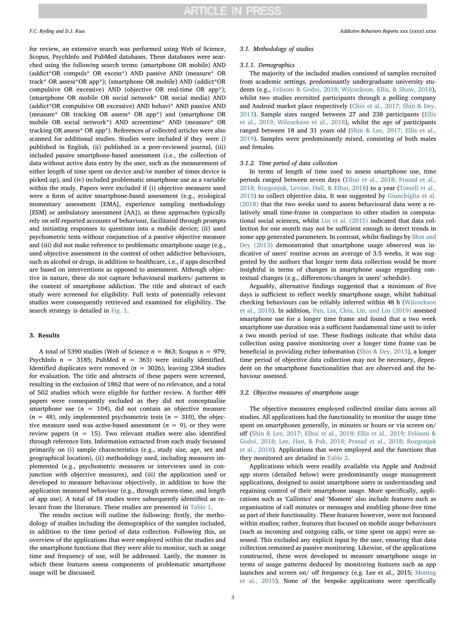for review, an extensive search was performed using Web of Science, Scopus, PsychInfo and PubMed databases. These databases were searched using the following search terms: (smartphone OR mobile) AND (addict\*OR compuls\* OR excess\*) AND passive AND (measure\* OR track\* OR assess\*OR app\*); (smartphone OR mobile) AND (addict\*OR compulsive OR excessive) AND (objective OR real-time OR app\*); (smartphone OR mobile OR social network\* OR social media) AND (addict\*OR compulsive OR excessive) AND behavi\* AND passive AND (measure\* OR tracking OR assess\* OR app\*) and (smartphone OR mobile OR social network\*) AND screentime\* AND (measure\* OR tracking OR assess\* OR app\*). References of collected articles were also scanned for additional studies. Studies were included if they were i) published in English, (ii) published in a peer-reviewed journal, (iii) included passive smartphone-based assessment (i.e., the collection of data without active data entry by the user, such as the measurement of either length of time spent on device and/or number of times device is picked up), and (iv) included problematic smartphone use as a variable within the study. Papers were excluded if (i) objective measures used were a form of active smartphone-based assessment (e.g., ecological momentary assessment [EMA], experience sampling methodology [ESM] or ambulatory assessment [AA]), as these approaches typically rely on self-reported accounts of behaviour, facilitated through prompts and initiating responses to questions into a mobile device; (ii) used psychometric tests without conjunction of a passive objective measure and (iii) did not make reference to problematic smartphone usage (e.g., used objective assessment in the context of other addictive behaviours, such as alcohol or drugs, in addition to healthcare, i.e., if apps described are based on interventions as opposed to assessment. Although objective in nature, these do not capture behavioural markers/ patterns in the context of smartphone addiction. The title and abstract of each study were screened for eligibility. Full texts of potentially relevant studies were consequently retrieved and examined for eligibility. The search strategy is detailed in [Fig. 1.](#page-3-0)

#### 3. Results

A total of 5390 studies (Web of Science  $n = 863$ ; Scopus  $n = 979$ ; PsychInfo  $n = 3185$ ; PubMed  $n = 363$ ) were initially identified. Identified duplicates were removed ( $n = 3026$ ), leaving 2364 studies for evaluation. The title and abstracts of these papers were screened, resulting in the exclusion of 1862 that were of no relevance, and a total of 502 studies which were eligible for further review. A further 489 papers were consequently excluded as they did not conceptualise smartphone use  $(n = 104)$ , did not contain an objective measure  $(n = 48)$ , only implemented psychometric tests  $(n = 310)$ , the objective measure used was *active*-based assessment ( $n = 9$ ), or they were review papers ( $n = 15$ ). Two relevant studies were also identified through reference lists. Information extracted from each study focussed primarily on (i) sample characteristics (e.g., study size, age, sex and geographical location), (ii) methodology used, including measures implemented (e.g., psychometric measures or interviews used in conjunction with objective measures), and (iii) the application used or developed to measure behaviour objectively, in addition to how the application measured behaviour (e.g., through screen-time, and length of app use). A total of 18 studies were subsequently identified as relevant from the literature. These studies are presented in [Table 1.](#page-4-0)

The results section will outline the following: firstly, the methodology of studies including the demographics of the samples included, in addition to the time period of data collection. Following this, an overview of the applications that were employed within the studies and the smartphone functions that they were able to monitor, such as usage time and frequency of use, will be addressed. Lastly, the manner in which these features assess components of problematic smartphone usage will be discussed.

#### 3.1. Methodology of studies

## 3.1.1. Demographics

The majority of the included studies consisted of samples recruited from academic settings, predominantly undergraduate university students (e.g., [Felisoni & Godoi, 2018; Wilcockson, Ellis, & Shaw, 2018](#page-16-22)), whilst two studies recruited participants through a polling company and Android market place respectively [\(Choi et al., 2017; Shin & Dey,](#page-16-23) [2013\)](#page-16-23). Sample sizes ranged between 27 and 238 participants ([Ellis](#page-16-13) [et al., 2019; Wilcockson et al., 2018](#page-16-13)), whilst the age of participants ranged between 18 and 31 years old ([Shin & Lee, 2017; Ellis et al.,](#page-17-3) [2019\)](#page-17-3). Samples were predominantly mixed, consisting of both males and females.

#### 3.1.2. Time period of data collection

In terms of length of time used to assess smartphone use, time periods ranged between seven days [\(Elhai et al., 2018; Prasad et al.,](#page-16-24) [2018; Rozgonjuk, Levine, Hall, & Elhai, 2018](#page-16-24)) to a year ([Tossell et al.,](#page-17-12) [2015\)](#page-17-12) to collect objective data. It was suggested by [Giunchiglia et al.](#page-16-6) [\(2018\)](#page-16-6) that the two weeks used to assess behavioural data were a relatively small time-frame in comparison to other studies in computational social sciences, whilst [Lin et al. \(2015\)](#page-16-16) indicated that data collection for one month may not be sufficient enough to detect trends in some app generated parameters. In contrast, whilst findings by [Shin and](#page-17-13) [Dey \(2013\)](#page-17-13) demonstrated that smartphone usage observed was indicative of users' routine across an average of 3.5 weeks, it was suggested by the authors that longer term data collection would be more insightful in terms of changes in smartphone usage regarding contextual changes (e.g., differences/changes in users' schedule).

Arguably, alternative findings suggested that a minimum of five days is sufficient to reflect weekly smartphone usage, whilst habitual checking behaviours can be reliably inferred within 48 h [\(Wilcockson](#page-17-14) [et al., 2018\)](#page-17-14). In addition, [Pan, Lin, Chiu, Lin, and Lin \(2019\)](#page-17-15) assessed smartphone use for a longer time frame and found that a two week smartphone use duration was a sufficient fundamental time unit to infer a two month period of use. These findings indicate that whilst data collection using passive monitoring over a longer time frame can be beneficial in providing richer information [\(Shin & Dey, 2013](#page-17-13)), a longer time period of objective data collection may not be necessary, dependent on the smartphone functionalities that are observed and the behaviour assessed.

#### 3.2. Objective measures of smartphone usage

The objective measures employed collected similar data across all studies. All applications had the functionality to monitor the usage time spent on smartphones generally, in minutes or hours or via screen on/ off [\(Shin & Lee, 2017; Elhai et al., 2018; Ellis et al., 2019; Felisoni &](#page-17-3) [Godoi, 2018; Lee, Han, & Pak, 2018; Prasad et al., 2018; Rozgonjuk](#page-17-3) [et al., 2018](#page-17-3)). Applications that were employed and the functions that they monitored are detailed in [Table 2.](#page-11-0)

Applications which were readily available via Apple and Android app stores (detailed below) were predominantly usage management applications, designed to assist smartphone users in understanding and regaining control of their smartphone usage. More specifically, applications such as 'Callistics' and 'Moment' also include features such as organisation of call minutes or messages and enabling phone-free time as part of their functionality. These features however, were not focussed within studies; rather, features that focused on mobile usage behaviours (such as incoming and outgoing calls, or time spent on apps) were assessed. This excluded any explicit input by the user, ensuring that data collection remained as passive monitoring. Likewise, of the applications constructed, these were developed to measure smartphone usage in terms of usage patterns deduced by monitoring features such as app launches and screen on/ off frequency (e.g. Lee et al., 2015; [Montag](#page-17-16) [et al., 2015](#page-17-16)). None of the bespoke applications were specifically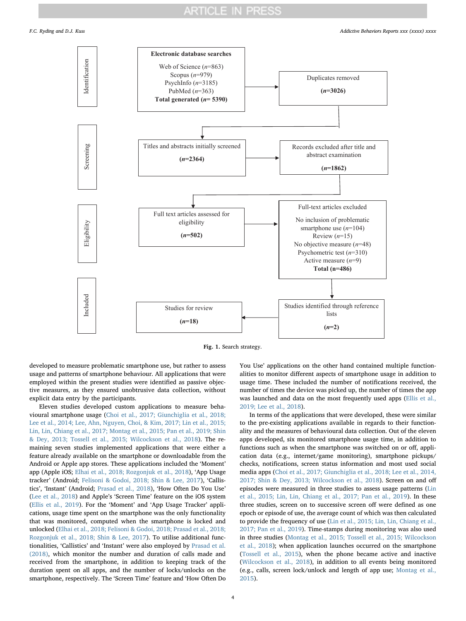<span id="page-3-0"></span>

Fig. 1. Search strategy.

developed to measure problematic smartphone use, but rather to assess usage and patterns of smartphone behaviour. All applications that were employed within the present studies were identified as passive objective measures, as they ensured unobtrusive data collection, without explicit data entry by the participants.

Eleven studies developed custom applications to measure behavioural smartphone usage ([Choi et al., 2017; Giunchiglia et al., 2018;](#page-16-23) [Lee et al., 2014; Lee, Ahn, Nguyen, Choi, & Kim, 2017; Lin et al., 2015;](#page-16-23) [Lin, Lin, Chiang et al., 2017; Montag et al., 2015; Pan et al., 2019; Shin](#page-16-23) [& Dey, 2013; Tossell et al., 2015; Wilcockson et al., 2018](#page-16-23)). The remaining seven studies implemented applications that were either a feature already available on the smartphone or downloadable from the Android or Apple app stores. These applications included the 'Moment' app (Apple iOS; [Elhai et al., 2018; Rozgonjuk et al., 2018](#page-16-24)), 'App Usage tracker' (Android; [Felisoni & Godoi, 2018; Shin & Lee, 2017](#page-16-22)), 'Callistics', 'Instant' (Android; [Prasad et al., 2018](#page-17-17)), 'How Often Do You Use' ([Lee et al., 2018](#page-16-25)) and Apple's 'Screen Time' feature on the iOS system ([Ellis et al., 2019](#page-16-13)). For the 'Moment' and 'App Usage Tracker' applications, usage time spent on the smartphone was the only functionality that was monitored, computed when the smartphone is locked and unlocked ([Elhai et al., 2018; Felisoni & Godoi, 2018; Prasad et al., 2018;](#page-16-24) [Rozgonjuk et al., 2018; Shin & Lee, 2017](#page-16-24)). To utilise additional functionalities, 'Callistics' and 'Instant' were also employed by [Prasad et al.](#page-17-17) [\(2018\),](#page-17-17) which monitor the number and duration of calls made and received from the smartphone, in addition to keeping track of the duration spent on all apps, and the number of locks/unlocks on the smartphone, respectively. The 'Screen Time' feature and 'How Often Do You Use' applications on the other hand contained multiple functionalities to monitor different aspects of smartphone usage in addition to usage time. These included the number of notifications received, the number of times the device was picked up, the number of times the app was launched and data on the most frequently used apps (Ellis [et al.,](#page-16-13) [2019; Lee et al., 2018\)](#page-16-13).

In terms of the applications that were developed, these were similar to the pre-existing applications available in regards to their functionality and the measures of behavioural data collection. Out of the eleven apps developed, six monitored smartphone usage time, in addition to functions such as when the smartphone was switched on or off, application data (e.g., internet/game monitoring), smartphone pickups/ checks, notifications, screen status information and most used social media apps ([Choi et al., 2017; Giunchiglia et al., 2018; Lee et al., 2014,](#page-16-23) [2017; Shin & Dey, 2013; Wilcockson et al., 2018](#page-16-23)). Screen on and off episodes were measured in three studies to assess usage patterns ([Lin](#page-16-16) [et al., 2015; Lin, Lin, Chiang et al., 2017; Pan et al., 2019\)](#page-16-16). In these three studies, screen on to successive screen off were defined as one epoch or episode of use, the average count of which was then calculated to provide the frequency of use ([Lin et al., 2015; Lin, Lin, Chiang et al.,](#page-16-16) [2017; Pan et al., 2019\)](#page-16-16). Time-stamps during monitoring was also used in three studies ([Montag et al., 2015; Tossell et al., 2015; Wilcockson](#page-17-16) [et al., 2018](#page-17-16)); when application launches occurred on the smartphone ([Tossell et al., 2015\)](#page-17-12), when the phone became active and inactive ([Wilcockson et al., 2018](#page-17-14)), in addition to all events being monitored (e.g., calls, screen lock/unlock and length of app use; [Montag et al.,](#page-17-16) [2015\)](#page-17-16).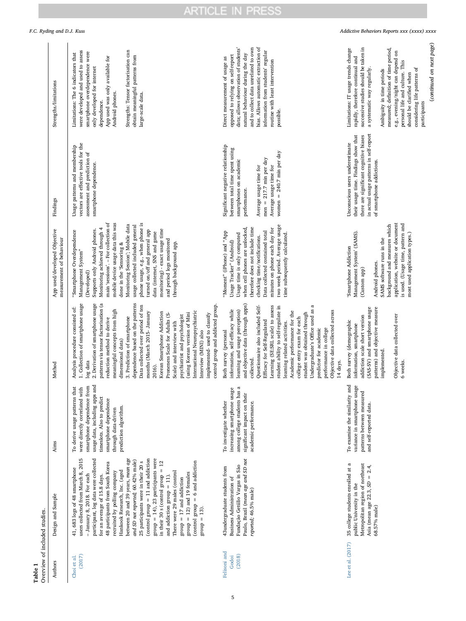<span id="page-4-0"></span>

| Overview of included studies.<br>Table 1 |                                                                                                                                                                                                                                                                                                                                                                                                                                                                                                                                                                                                                                                                                                              |                                                                                                                                                                                                                                       |                                                                                                                                                                                                                                                                                                                                                                                                                                                                                                                                                                                                                                                                                                     |                                                                                                                                                                                                                                                                                                                                                                                                                                                                                                                   |                                                                                                                                                                                                                                |                                                                                                                                                                                                                                                                                                                                                                                                      |                                             |
|------------------------------------------|--------------------------------------------------------------------------------------------------------------------------------------------------------------------------------------------------------------------------------------------------------------------------------------------------------------------------------------------------------------------------------------------------------------------------------------------------------------------------------------------------------------------------------------------------------------------------------------------------------------------------------------------------------------------------------------------------------------|---------------------------------------------------------------------------------------------------------------------------------------------------------------------------------------------------------------------------------------|-----------------------------------------------------------------------------------------------------------------------------------------------------------------------------------------------------------------------------------------------------------------------------------------------------------------------------------------------------------------------------------------------------------------------------------------------------------------------------------------------------------------------------------------------------------------------------------------------------------------------------------------------------------------------------------------------------|-------------------------------------------------------------------------------------------------------------------------------------------------------------------------------------------------------------------------------------------------------------------------------------------------------------------------------------------------------------------------------------------------------------------------------------------------------------------------------------------------------------------|--------------------------------------------------------------------------------------------------------------------------------------------------------------------------------------------------------------------------------|------------------------------------------------------------------------------------------------------------------------------------------------------------------------------------------------------------------------------------------------------------------------------------------------------------------------------------------------------------------------------------------------------|---------------------------------------------|
| Authors                                  | Design and Sample                                                                                                                                                                                                                                                                                                                                                                                                                                                                                                                                                                                                                                                                                            | Aims                                                                                                                                                                                                                                  | Method                                                                                                                                                                                                                                                                                                                                                                                                                                                                                                                                                                                                                                                                                              | App used/developed Objective<br>measurement of behaviour                                                                                                                                                                                                                                                                                                                                                                                                                                                          | Findings                                                                                                                                                                                                                       | Strengths/limitations                                                                                                                                                                                                                                                                                                                                                                                | F.C. Ryding and D.J. Kuss                   |
| (2017)<br>Choi et al.                    | users collected from March 8, 2015<br>participant, log data were collected<br>between 20 and 39 years, mean age<br>(control group = 11 and addiction<br>$group = 14$ , 23 participants were<br>and SD not reported; 60.42% male)<br>25 participants were in their 20 s<br>(control group $= 6$ and addiction<br>in their 30 s (control group $= 12$<br>48 participants from South Korea<br>41, 683 logs of 48 smartphone<br>Hankook Research, Inc. (aged<br>There were 29 males (control<br>recruited by polling company<br>$group = 12$ ) and 19 females<br>- January 8, 2018. For each<br>for an average of 15.8 days.<br>and addiction group $= 11$ ).<br>$= 17$ and addiction<br>$group = 13$ .<br>dnor8 | usage data, including apps and<br>smartphone dependence from<br>To derive usage patterns that<br>were directly correlated with<br>timeslots. Also to predict<br>smartphone dependence<br>prediction algorithm.<br>through data-driven | dependence based on the patterns<br>patterns via tensor factorisation (a<br>1. Collection of smartphone usage<br>2. Derivation of smartphone usage<br>Data collected over period of ten<br>control group and addicted group.<br>Analysis procedure consisted of:<br>meaningful concepts from high<br>International Neuropsychiatric<br>months (March 2015- January<br>Korean Smartphone Addiction<br>(using Korean version of Mini<br>Proneness Scale for Adults (S-<br>implemented-used to classify<br>psychiatrist and psychologist<br>3. Prediction of smartphone<br>reduction method to derive<br>Scale) and interview with<br>Interview (MINI) also<br>dimensional data)<br>log data<br>2016). | phone usage, e.g., when phone is<br>main 'sessions'. - For collection of<br>mobile device usage data this was<br>Monitoring Session'; Mobile data<br>usage collected included general<br>Monitoring achieved through 4<br>monitoring) - exact usage time<br>turned on/off and general app<br>Supports only Android phones.<br>"Smartphone Overdependence<br>data (internet, SNS and game<br>and period logs monitored<br>through background app.<br>done in the 'Sensoring &<br>Management System"<br>(Developed) | vectors are effective tools for the<br>Usage patterns and membership<br>assessment and prediction of<br>smartphone dependence.                                                                                                 | Strengths: Tensor factorisation can<br>were developed and used to assess<br>smartphone overdependence were<br>Limitations: The 6 indicators that<br>obtain meaningful patterns from<br>App used was only available for<br>only developed for internet<br>Android phones.<br>large-scale data.<br>dependence.                                                                                         |                                             |
| Felisoni and<br>(2018)<br>Godoi          | Paulo, Brazil (mean age and SD not<br>Fundação Getúlio Vargas in São<br>43undergraduate students from<br>Business Administration of<br>reported; 46.5% male)                                                                                                                                                                                                                                                                                                                                                                                                                                                                                                                                                 | among college students has a<br>increasing smartphone usage<br>significant impact on their<br>To investigate whether<br>academic performance.                                                                                         | and objective data (through apps)<br>Undergraduate's Office used as a<br>Questionnaire also included Self-<br>Learning (SE:SRL scale) to assess<br>student ability to self-regulate in<br>information, self-efficacy while<br>learning and usage perception)<br>Objective data collected across<br>Academic performance for the<br>student was obtained through<br>college entry exam for each<br>Efficacy for Self-Regulated<br>learning related activities.<br>predictor for academic<br>performance in college<br>Both survey (personal<br>collected.<br>14 days.                                                                                                                                | two week period. Average usage<br>therefore does not include time<br>when cell phones are unlocked,<br>minutes on phone each day for<br>Data collected contained total<br>"Moment" (iPhone) and "App<br>time subsequently calculated.<br>Usage time is only computed<br>checking time/notifications.<br>Usage Tracker" (Android)                                                                                                                                                                                  | Significant negative relationship<br>between total time spent using<br>women = $240.7$ min per day<br>$men = 217.7 min per day$<br>smartphones on academic<br>Average usage time for<br>Average usage time for<br>performance. | bias. Allows automatic extraction of<br>and to collect data unrelated to own<br>data; allows observation of students'<br>information from students' regular<br>natural behaviour during the day<br>opposed to relying on self-report<br>Direct measurement of usage as<br>routine with least intervention<br>possible.                                                                               |                                             |
| Lee et al. (2017)                        | 35 college students enrolled at a<br>Metropolitan region of northeast<br>Asia (mean age $22.3$ , $SD = 2.4$ ,<br>public University in the<br>68.57% male)                                                                                                                                                                                                                                                                                                                                                                                                                                                                                                                                                    | To examine the similarity and<br>variance in smartphone usage<br>patterns between measured<br>and self-reported data.                                                                                                                 | (SAS-SV) and smartphone usage<br>patterns) and objective measure<br>Objective data collected over<br>addiction scale short version<br>Both survey (demographic<br>information, smartphone<br>implemented.<br>6 weeks.                                                                                                                                                                                                                                                                                                                                                                                                                                                                               | application, website or document<br>is used. (Usage time, pattern and<br>background and measures which<br>Management System' (SAMS).<br>most used application types.)<br>SAMS software runs in the<br>Smartphone Addiction<br>Android phones.<br>(Custom app)                                                                                                                                                                                                                                                     | in actual usage patterns in self-report<br>their usage time. Findings show that<br>there are significant cognitive biases<br>Unconscious users underestimate<br>of smartphone addictions.                                      | (continued on next page)<br>successive studies should be taken in<br>Limitations: IT usage trends change<br>measured; definition of time period,<br>e.g., evening/night can depend on<br>rapidly, therefore continual and<br>personal life and culture. This<br>considering life patterns of<br>a systematic way regularly.<br>Ambiguity in time periods<br>should be clarified when<br>participants | Addictive Behaviors Reports xxx (xxxx) xxxx |

ARTICLE IN PRESS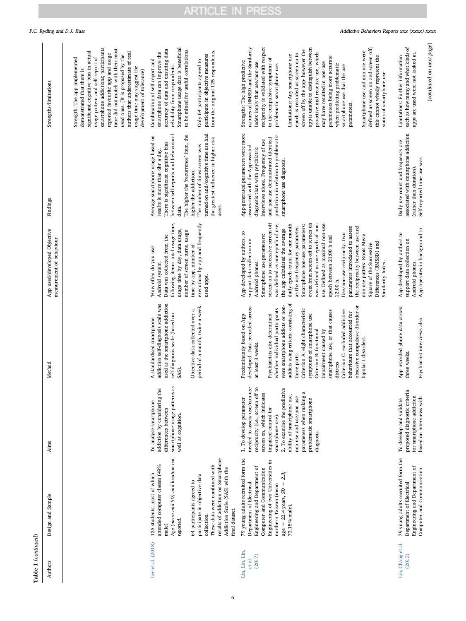| c |
|---|
|   |
|   |

| Table 1 (continued)                |                                                                                                                                                                                                                                                                                                                                   |                                                                                                                                                                                                                                                                                                                                               |                                                                                                                                                                                                                                                                                                                                                                                                                                                                                                                                                       |                                                                                                                                                                                                                                                                                                                                                                                                                                                                                                                                                                                                                                                                                                       |                                                                                                                                                                                                                                                                                                                                                             |                                                                                                                                                                                                                                                                                                                                                                                                                                                                                                                                                                                                                                                                                                    |                                             |
|------------------------------------|-----------------------------------------------------------------------------------------------------------------------------------------------------------------------------------------------------------------------------------------------------------------------------------------------------------------------------------|-----------------------------------------------------------------------------------------------------------------------------------------------------------------------------------------------------------------------------------------------------------------------------------------------------------------------------------------------|-------------------------------------------------------------------------------------------------------------------------------------------------------------------------------------------------------------------------------------------------------------------------------------------------------------------------------------------------------------------------------------------------------------------------------------------------------------------------------------------------------------------------------------------------------|-------------------------------------------------------------------------------------------------------------------------------------------------------------------------------------------------------------------------------------------------------------------------------------------------------------------------------------------------------------------------------------------------------------------------------------------------------------------------------------------------------------------------------------------------------------------------------------------------------------------------------------------------------------------------------------------------------|-------------------------------------------------------------------------------------------------------------------------------------------------------------------------------------------------------------------------------------------------------------------------------------------------------------------------------------------------------------|----------------------------------------------------------------------------------------------------------------------------------------------------------------------------------------------------------------------------------------------------------------------------------------------------------------------------------------------------------------------------------------------------------------------------------------------------------------------------------------------------------------------------------------------------------------------------------------------------------------------------------------------------------------------------------------------------|---------------------------------------------|
| Authors                            | Design and Sample                                                                                                                                                                                                                                                                                                                 | Aims                                                                                                                                                                                                                                                                                                                                          | Method                                                                                                                                                                                                                                                                                                                                                                                                                                                                                                                                                | App used/developed Objective<br>measurement of behaviour                                                                                                                                                                                                                                                                                                                                                                                                                                                                                                                                                                                                                                              | Findings                                                                                                                                                                                                                                                                                                                                                    | Strengths/limitations                                                                                                                                                                                                                                                                                                                                                                                                                                                                                                                                                                                                                                                                              |                                             |
|                                    |                                                                                                                                                                                                                                                                                                                                   |                                                                                                                                                                                                                                                                                                                                               |                                                                                                                                                                                                                                                                                                                                                                                                                                                                                                                                                       |                                                                                                                                                                                                                                                                                                                                                                                                                                                                                                                                                                                                                                                                                                       |                                                                                                                                                                                                                                                                                                                                                             | smartphone addictions; participants<br>time did not match with their most<br>significant cognitive bias in actual<br>authors that underestimate of real<br>reported favourite app and usage<br>used ones. (It is proposed by the<br>usage pattern and self-report of<br>Strength: The app implemented<br>usage time may suggest the<br>demonstrated that there is<br>development of tolerance)                                                                                                                                                                                                                                                                                                     | F.C. Ryding and D.J. Kuss                   |
| Lee et al. (2018)                  | results of addiction on Smartphone<br>Age (mean and SD) and location not<br>attended computer classes (49%<br>These data were combined with<br>Addiction Scale (SAS) with the<br>125 students; most of which<br>participate in objective data<br>64 participants agreed to<br>final dataset.<br>collection.<br>reported.<br>male) | smartphone usage patterns as<br>addiction by considering the<br>To analyse smartphone<br>differences between<br>well as cognition.                                                                                                                                                                                                            | used as the smartphone addiction<br>addiction self-diagnosis scale was<br>period of a month, twice a week<br>Objective data collected over a<br>self-diagnosis scale (based on<br>A standardised smartphone<br>SAS).                                                                                                                                                                                                                                                                                                                                  | following items: total usage time,<br>executions by app and frequently<br>usage time by day, data usage,<br>number of screen turns, usage<br>Data was collected from the<br>time by app, number of<br>How often do you use'<br>Android system.<br>used apps.                                                                                                                                                                                                                                                                                                                                                                                                                                          | turned on and/cognitive time use had<br>The higher the 'recurrence' item, the<br>between self-reports and behavioural<br>Average smartphone usage based on<br>the greatest influence in higher risk<br>There is significant cognitive bias<br>The number of times screen was<br>results is more than 6hr a day.<br>higher the addiction.<br>users.<br>data. | Smartphone usage data is beneficial<br>accuracy of data and ensuring data<br>to be mined for useful correlations.<br>from the original 125 respondents.<br>smartphone data can improve the<br>participate in objective measures<br>Only 64 participants agreed to<br>Combination of self-report and<br>reliability from respondents.                                                                                                                                                                                                                                                                                                                                                               |                                             |
| Lin, Lin, Lin,<br>(2017)<br>et al. | 79 young adults recruited form the<br>Engineering of two Universities in<br>Engineering and Department of<br>Computer and Communication<br>2.3<br>age = $22.4$ years, $SD$ =<br>Department of Electrical<br>northern Taiwan (mean<br>72.15% male).                                                                                | needed to assess use/non-use<br>reciprocity (i.e., screen off to<br>2. To examine the predictive<br>$\approx$<br>screen on, which indicates<br>ability of smartphone use,<br>parameters when making<br>non-use and use/non-use<br>1. To develop parameter<br>problematic smartphone<br>impaired control for<br>smartphone use).<br>diagnosis. | addicts using criteria consisting of<br>were smartphone addicts or non-<br>obsessive compulsive disorder or<br>developed. Data recorded across<br>whether individual participants<br>Criterion A: eight characteristic<br>Criterion C: excluded addictive<br>smartphone use, or that causes<br>behaviours that accounted for<br>Psychiatrists also determined<br>symptoms of smartphone use<br>Predominantly based on App<br>Criterion B: functional<br>impairment caused by<br>bipolar I disorders.<br>at least 3 weeks.<br>three parts:<br>distress | screen on to successive screen off<br>event from screen off to screen on<br>was defined as one epoch of use;<br>was defined as one epoch of non-<br>use. Defined as maximal non-use<br>daily epoch count for one month<br>Smartphone non-use parameters:<br>the reciprocity between use and<br>as the use frequency parameter.<br>parameters introduced to assess<br>the app calculated the average<br>App developed by authors, to<br>Use/non-use reciprocity: two<br>non-use patters-Roots Mean<br>Smartphone use parameters:<br>epoch between 21:00 h and<br>support data collection on<br>Differences (RMSSD) and<br>Square of the Successive<br>Android phones.<br>Similarity Index.<br>12:00 h. | App-generated parameters were more<br>prediction in relation to problematic<br>and non-use demonstrated identical<br>interviews alone. Frequency of use<br>associated with the App-assisted<br>diagnosis than with psychiatric<br>smartphone use diagnosis.                                                                                                 | reciprocity is validated with respect<br>app is unable to distinguish between<br>defined as screen on and screen off;<br>natures of RMSSD and the Similarity<br>screen off by the app-however the<br>Smartphone use and non-use were<br>proactive and reactive use, which<br>epoch is recorded as screen on to<br>Limitations: Any smartphone use<br>this cannot wholly represent the<br>parameters being more accurate<br>to the compulsive symptoms of<br>Strengths: The high predictive<br>Index imply that use/non-use<br>may have resulted in non-use<br>when predicting problematic<br>problematic smartphone use.<br>smartphone use that the use<br>status of smartphone use<br>parameters. | Addictive Behaviors Reports xxx (xxxx) xxxx |
| Lin, Chang et al.<br>(2015)        | 79 young adults recruited form the<br>Engineering and Department of<br>Computer and Communication<br>Department of Electrical                                                                                                                                                                                                     | proposed diagnostic criteria<br>for smartphone addiction<br>based on interviews with<br>To develop and validate                                                                                                                                                                                                                               | App recorded phone data across<br>Psychiatrist interviews also<br>three weeks.                                                                                                                                                                                                                                                                                                                                                                                                                                                                        | App operates in background to<br>App developed by authors to<br>support data collection on<br>Android phones.                                                                                                                                                                                                                                                                                                                                                                                                                                                                                                                                                                                         | associated with smartphone addiction<br>Daily use count and frequency are<br>Self-reported time use was<br>(rather than duration)                                                                                                                                                                                                                           | (continued on next page)<br>such as how many and what kinds of<br>apps are used were not looked at.<br>Limitations: Further information                                                                                                                                                                                                                                                                                                                                                                                                                                                                                                                                                            |                                             |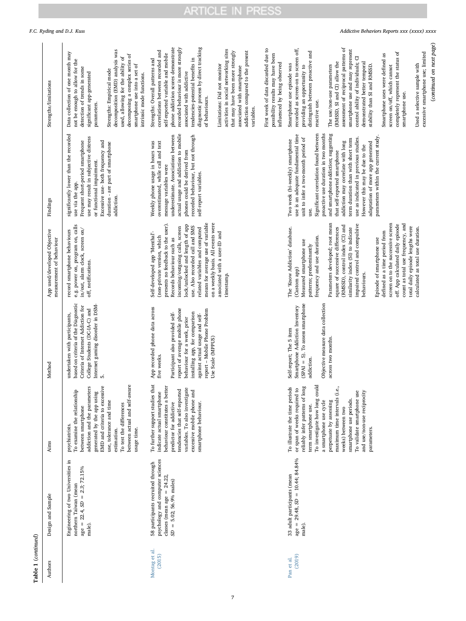| ۹<br>ı |
|--------|
|        |
| a      |
|        |
|        |
|        |
| ¢<br>I |
|        |

| Table 1 (continued)     |                                                                                                                                      |                                                                                                                                                                                                                                                                                                                                                                              |                                                                                                                                                                                                                                                                             |                                                                                                                                                                                                                                                                                                                                                                                                                                                                                                                                                        |                                                                                                                                                                                                                                                                                                                                                                                                                                                                                                                  |                                                                                                                                                                                                                                                                                                                                                                                                                                                                                                                                                                                                                                                |
|-------------------------|--------------------------------------------------------------------------------------------------------------------------------------|------------------------------------------------------------------------------------------------------------------------------------------------------------------------------------------------------------------------------------------------------------------------------------------------------------------------------------------------------------------------------|-----------------------------------------------------------------------------------------------------------------------------------------------------------------------------------------------------------------------------------------------------------------------------|--------------------------------------------------------------------------------------------------------------------------------------------------------------------------------------------------------------------------------------------------------------------------------------------------------------------------------------------------------------------------------------------------------------------------------------------------------------------------------------------------------------------------------------------------------|------------------------------------------------------------------------------------------------------------------------------------------------------------------------------------------------------------------------------------------------------------------------------------------------------------------------------------------------------------------------------------------------------------------------------------------------------------------------------------------------------------------|------------------------------------------------------------------------------------------------------------------------------------------------------------------------------------------------------------------------------------------------------------------------------------------------------------------------------------------------------------------------------------------------------------------------------------------------------------------------------------------------------------------------------------------------------------------------------------------------------------------------------------------------|
| Authors                 | Design and Sample                                                                                                                    | Aims                                                                                                                                                                                                                                                                                                                                                                         | Method                                                                                                                                                                                                                                                                      | App used/developed Objective<br>measurement of behaviour                                                                                                                                                                                                                                                                                                                                                                                                                                                                                               | Findings                                                                                                                                                                                                                                                                                                                                                                                                                                                                                                         | Strengths/limitations                                                                                                                                                                                                                                                                                                                                                                                                                                                                                                                                                                                                                          |
|                         | Engineering of two Universities in<br>age = $22.4$ , $SD = 2.3$ ; $72.15\%$<br>northern Taiwan (mean<br>male).                       | between actual and self-aware<br>addiction and the parameters<br>EMD and criteria to excessive<br>To examine the relationship<br>generated by the app using<br>use, tolerance and time<br>To test the differences<br>between smartphone<br>psychiatrists.<br>usage time.<br>estimation.                                                                                      | based on criteria of the Diagnostic<br>Internet gaming disorder in DSM-<br>Criteria of Internet Addiction for<br>College Students (DC-IA-C) and<br>undertaken with participants,<br>ம்                                                                                      | e.g. power on, program on, calls<br>in/out, alarm clock, screen on/<br>record smartphone behaviours<br>off, notifications.                                                                                                                                                                                                                                                                                                                                                                                                                             | significantly lower than the recorded<br>use may result in subjective distress<br>Frequent short-period smartphone<br>Excessive use- both frequency and<br>duration - are part of smartphone<br>or functional impairment.<br>use via the app.<br>addiction.                                                                                                                                                                                                                                                      | decomposition (EMD) analysis was<br>Data collection of one month may<br>decomposing a complex series of<br>used, allowing for the ability of<br>not be enough to allow for the<br>smartphone use into a set of<br>detection of trends in some<br>Strengths: Empirical mode<br>significant app-generated<br>intrinsic mode functions.<br>parameters.                                                                                                                                                                                                                                                                                            |
| Montag et al.<br>(2015) | psychology and computer sciences<br>58 participants recruited through<br>classes (mean age = $24.22$ ,<br>$SD = 5.02$ ; 56.9% males) | To further support studies that<br>behaviour constitutes a better<br>variables. To also investigate<br>tendencies that self-reported<br>excessive mobile phone and<br>indicate actual smartphone<br>predictor for addictive<br>smartphone behaviour.                                                                                                                         | App recorded phone data across<br>report of average mobile phone<br>report - Mobile Phone Problem<br>installing app, for comparison<br>Participant also provided self-<br>against actual usage and self-<br>behaviour for a week, prior<br>Use Scale (MPPUS)<br>five weeks. | means for average use of variable<br>on a weekly basis. All events were<br>presents no feedback to the user).<br>lock/unlocked and length of app<br>use. Also recorded call and SMS<br>incoming/outgoing calls, screen<br>related variables and computed<br>associated with a user-ID and<br>Self-developed app 'Menthal'-<br>(non-private version, which<br>Records behaviour such as<br>timestamp.                                                                                                                                                   | actual usage and addiction to mobile<br>underestimate. Associations between<br>recorded behaviour, but not through<br>Weekly phone usage in hours was<br>overestimated, while call and text<br>phones could be derived from<br>message variables were<br>self-report variables.                                                                                                                                                                                                                                  | phone addiction scores demonstrate<br>recorded behaviour is more strongly<br>diagnostic process by direct tracking<br>activities in social networking sites<br>correlations between recorded and<br>that may have been more strongly<br>addiction compared to the present<br>self-reported variable and mobile<br>Strengths: Overall patterns and<br>tendencies-potential benefits in<br>Limitations: Did not monitor<br>associated with smartphone<br>associated with addictive<br>of behaviours.<br>variables.                                                                                                                               |
| (2019)<br>Pan et al.    | $age = 29.48$ , $SD = 10.44$ ; 84.84%<br>33 adult participants (mean<br>male).                                                       | To illustrate the time periods<br>or span of weeks required to<br>reliably infer patterns of long<br>To investigate how long could<br>maximum time intervals (i.e.<br>and use/non-use reciprocity<br>To validate smartphone use<br>smartphone use periods.<br>a smartphone use cycle<br>perpetuate by assessing<br>term smartphone use.<br>weeks) between two<br>parameters. | $(SPAI = 5)$ . To assess smartphone<br>Objective measure data collection<br>Smartphone Addiction Inventory<br>Self-report; The 5 item<br>across two months<br>addiction.                                                                                                    | Parameters developed; root mean<br>impaired control and compulsive<br>count as total use frequency, and<br>screen on to the successive screen<br>off. App calculated daily episode<br>(RMSSD), control index (CI) and<br>total daily episode lengths were<br>square of successive differences<br>similarity index (SI) to indicate<br>The 'Know Addiction' database.<br>defined as a time period from<br>frequency and use duration.<br>Episode of smartphone use<br>Measured smartphone use<br>patterns; predominantly<br>(Custom app)<br>behaviours. | Significant correlation found between<br>and smartphone addiction; suggesting<br>proactive use duration in two months<br>use is an adequate fundamental time<br>parameters within the current study<br>unit to infer a two-month period of<br>use as indicated in previous studies.<br>term duration than with short term<br>Two week (bi-weekly) smartphone<br>addiction may correlate with long<br>adaptation of more app generated<br>However this may be due to the<br>that self-reported smartphone<br>use. | assessment of reciprocal patterns of<br>recorded as screen-on to screen off,<br>First week of data discarded due to<br>smartphone use and may represent<br>distinguish between proactive and<br>completely represent the status of<br>possibility results may have been<br>Smartphone uses were defined as<br>control ability of individuals; CI<br>(RMSSD, SI and CI) allow the<br>demonstrated better temporal<br>influenced by being observed<br>Smartphone use episode was<br>stability than SI and RMSSD.<br>The use/non-use parameters<br>providing an opportunity to<br>screen on/off, which cannot<br>smartphone use.<br>reactive use. |
|                         |                                                                                                                                      |                                                                                                                                                                                                                                                                                                                                                                              |                                                                                                                                                                                                                                                                             | calculated as total use duration.                                                                                                                                                                                                                                                                                                                                                                                                                                                                                                                      |                                                                                                                                                                                                                                                                                                                                                                                                                                                                                                                  | Used a selective sample with                                                                                                                                                                                                                                                                                                                                                                                                                                                                                                                                                                                                                   |

## F.C. Ryding and D.J. Kuss *Addictive Behaviors Reports xxx (xxxx) xxxx*

Used a selective sample with excessive smartphone use; limited

Used a selective sample with<br>excessive smartphone use; limited

(continued on next page)

(continued on next page)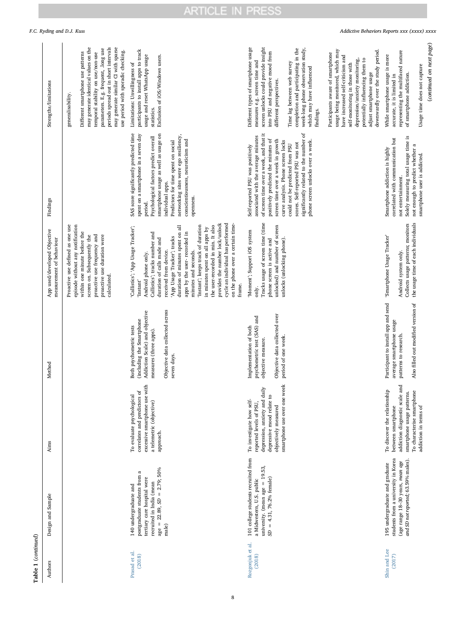| ٦           |  |
|-------------|--|
|             |  |
| Ξ<br>r<br>œ |  |

| Authors                    | Design and Sample                                                                                                                                                                                     | Aims                                                                                                                                                                        | Method                                                                                                                                                             | App used/developed Objective<br>measurement of behaviour                                                                                                                                                                                                                                                                                                                                                                                                                                                                        | Findings                                                                                                                                                                                                                                                                                                                                                                                       | Strengths/limitations                                                                                                                                                                                                                                                                                                            |
|----------------------------|-------------------------------------------------------------------------------------------------------------------------------------------------------------------------------------------------------|-----------------------------------------------------------------------------------------------------------------------------------------------------------------------------|--------------------------------------------------------------------------------------------------------------------------------------------------------------------|---------------------------------------------------------------------------------------------------------------------------------------------------------------------------------------------------------------------------------------------------------------------------------------------------------------------------------------------------------------------------------------------------------------------------------------------------------------------------------------------------------------------------------|------------------------------------------------------------------------------------------------------------------------------------------------------------------------------------------------------------------------------------------------------------------------------------------------------------------------------------------------------------------------------------------------|----------------------------------------------------------------------------------------------------------------------------------------------------------------------------------------------------------------------------------------------------------------------------------------------------------------------------------|
|                            |                                                                                                                                                                                                       |                                                                                                                                                                             |                                                                                                                                                                    | Proactive use defined as one use<br>episode without any notification<br>within one minute before the<br>screen on. Subsequently the<br>proactive use frequency and<br>proactive use duration were<br>calculated.                                                                                                                                                                                                                                                                                                                |                                                                                                                                                                                                                                                                                                                                                                                                | may generate identical values on the<br>periods spread out in short intervals<br>may generate similar CI with sparse<br>parameters. E.g. frequent, long use<br>use period with sporadic checking.<br>Different smartphone use patterns<br>temporal stability on use/non-use<br>generalisability.                                 |
| Prasad et al.<br>(2018)    | $age = 22.89$ , $SD = 2.79$ ; 50%<br>$\mathfrak{a}% _{T}=\mathfrak{a}_{T}$<br>postgraduate students from<br>tertiary care hospital were<br>recruited in India (mean<br>140 undergraduate and<br>male) | excessive smartphone use with<br>correlates and predictors of<br>To evaluate psychological<br>a telemetric (objective)<br>approach.                                         | Objective data collected across<br>Addiction Scale) and objective<br>(including the Smartphone<br>Both psychometric tests<br>measures (three apps).<br>seven days. | provides the number lock/unlock<br>cycle an individual has performed<br>on the phone over a certain time-<br>the user-recorded in min. It also<br>'Instant'; keeps track of duration<br>duration of minutes spent on all<br>'Callistics'; 'App Usage Tracker';<br>in minutes spent on all apps by<br>Callistics'; tracks number and<br>apps by the user-recorded in<br>'App Usage Tracker'; tracks<br>duration of calls made and<br>received from device.<br>minutes and seconds.<br>Android phone only.<br>'Instant'<br>frame. | SAS score significantly predicted time<br>smartphone usage as well as usage on<br>spent on a smartphone in a seven day<br>networking sites were ego resiliency,<br>Psychological factors predict overall<br>conscientiousness, neuroticism and<br>Predictors for time spent on social<br>individual apps.<br>openness.<br>period.                                                              | participants to install apps to track<br>usage and reset WhatsApp usage<br>Exclusion of iOS/Windows users.<br>Limitations: Unwillingness of<br>statistics.                                                                                                                                                                       |
| Rozgonjuk et al.<br>(2018) | 101 college students recruited from<br>university. (mean $age = 19.53$ ,<br>$SD = 4.31, 76.2%$ female)<br>a Midwestern, U.S. public                                                                   | smartphone use over one week<br>depression, anxiety and daily<br>depressive mood relate to<br>To investigate how self-<br>reported levels of PSU,<br>objectively measured   | Objective data collected over<br>psychometric test (SAS) and<br>Implementation of both<br>period of one week.<br>objective measure.                                | Tracks usage of screen time (time<br>unlocked) and number of screen<br>'Moment'; Support iOS system<br>unlocks (unlocking phone).<br>phone screen is active and<br>only.                                                                                                                                                                                                                                                                                                                                                        | ъf<br>of screen time over a week, and that it<br>associated with the average minutes<br>positively predicted the minutes of<br>significantly related to the number<br>screen time over a week in growth<br>phone screen unlocks over a week.<br>curve analysis. Phone screen locks<br>scores. Self-reported PSU was not<br>could not be predicted from PSU<br>Self-reported PSU was positively | Different types of smartphone usage<br>screen unlocks could provide insight<br>completion and participating in the<br>week-long phone observation study,<br>into PSU and negative mood from<br>measures e.g. screen time and<br>Time lag between web survey<br>which may have influenced<br>different perspectives.<br>findings. |
|                            |                                                                                                                                                                                                       |                                                                                                                                                                             |                                                                                                                                                                    |                                                                                                                                                                                                                                                                                                                                                                                                                                                                                                                                 |                                                                                                                                                                                                                                                                                                                                                                                                | usage being monitored, which may<br>downwardly over the study period.<br>Participants aware of smartphone<br>have increased self-criticism and<br>depression/anxiety monitoring,<br>potentially influencing them to<br>self-monitoring in those with<br>adjust smartphone usage                                                  |
| Shin and Lee<br>(2017)     | students from a university in Korea<br>and SD not reported; 63.59% males).<br>(age range 18-30 years, mean age<br>195 undergraduate and graduate                                                      | ਰੂ<br>To discover the relationship<br>To characterise smartphone<br>smartphone usage patterns.<br>addiction diagnostic scale<br>between smartphone<br>addiction in terms of | Participant to install app and send<br>Also filled out modified version of<br>average smartphone usage<br>patterns to research.                                    | the usage time of each individuals<br>Collects usage patterns; monitors<br>'Smartphone Usage Tracker'<br>Android system only.                                                                                                                                                                                                                                                                                                                                                                                                   | Solely measuring total usage time is<br>correlated with communication but<br>not enough to predict whether a<br>Smartphone addiction is highly<br>smartphone user is addicted.<br>not entertainment.                                                                                                                                                                                           | representing the multifaced nature<br>While smartphone usage is more<br>Usage time does not capture<br>of smartphone addiction.<br>accurate, it is limited in                                                                                                                                                                    |

(continued on next page)

 $\left( {continued\ on\ next\ page} \right)$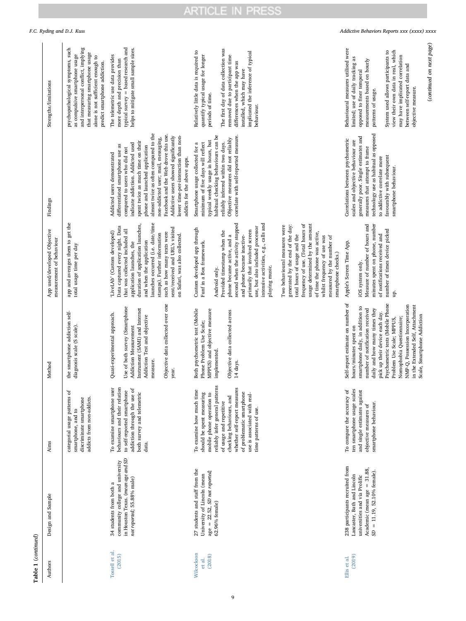| Table 1 (continued)            |                                                                                                                                                                    |                                                                                                                                                                                                                                                                                                    |                                                                                                                                                                                                                                                                                                                                                                                                           |                                                                                                                                                                                                                                                                                                                                                                                                                                                                                                                                                                                                                                           |                                                                                                                                                                                                                                                                                                                                                                                                                                                     |                                                                                                                                                                                                                                                                                                                                                             |
|--------------------------------|--------------------------------------------------------------------------------------------------------------------------------------------------------------------|----------------------------------------------------------------------------------------------------------------------------------------------------------------------------------------------------------------------------------------------------------------------------------------------------|-----------------------------------------------------------------------------------------------------------------------------------------------------------------------------------------------------------------------------------------------------------------------------------------------------------------------------------------------------------------------------------------------------------|-------------------------------------------------------------------------------------------------------------------------------------------------------------------------------------------------------------------------------------------------------------------------------------------------------------------------------------------------------------------------------------------------------------------------------------------------------------------------------------------------------------------------------------------------------------------------------------------------------------------------------------------|-----------------------------------------------------------------------------------------------------------------------------------------------------------------------------------------------------------------------------------------------------------------------------------------------------------------------------------------------------------------------------------------------------------------------------------------------------|-------------------------------------------------------------------------------------------------------------------------------------------------------------------------------------------------------------------------------------------------------------------------------------------------------------------------------------------------------------|
| Authors                        | Design and Sample                                                                                                                                                  | Aims                                                                                                                                                                                                                                                                                               | Method                                                                                                                                                                                                                                                                                                                                                                                                    | App used/developed Objective<br>measurement of behaviour                                                                                                                                                                                                                                                                                                                                                                                                                                                                                                                                                                                  | Findings                                                                                                                                                                                                                                                                                                                                                                                                                                            | Strengths/limitations                                                                                                                                                                                                                                                                                                                                       |
|                                |                                                                                                                                                                    | categorial usage patterns of<br>discriminate smartphone<br>addicts from non-addicts.<br>smartphone, and to                                                                                                                                                                                         | the smartphone addiction self-<br>diagnosis scale (S scale).                                                                                                                                                                                                                                                                                                                                              | app and averages them to get the<br>total usage time per day                                                                                                                                                                                                                                                                                                                                                                                                                                                                                                                                                                              |                                                                                                                                                                                                                                                                                                                                                                                                                                                     | psychopathological symptoms, such<br>and interpersonal conflict, implying<br>that measuring smartphone usage<br>as compulsive smartphone usage<br>alone is not sufficient enough to<br>predict smartphone addiction.                                                                                                                                        |
| Tossell et al.<br>(2015)       | in Houston Texas. (mean age and SD<br>community college and university<br>not reported; 55.88% male)<br>34 students from both a                                    | behaviours and their relation<br>To examine smartphone user<br>addiction through the use of<br>to self-reported smartphone<br>both survey and telemetric<br>data.                                                                                                                                  | Objective data collected over one<br>Use of both survey (Smartphone<br>Instrument (SAMI) and Internet<br>Quasi-experimental approach.<br>Addiction Test and objective<br>Addiction Measurement<br>measure.<br>year.                                                                                                                                                                                       | launches occurred (i.e. date/time<br>duration of application launches,<br>Data captured every night. Data<br>sent/received and URL's visited<br>that was collected included all<br>'LiveLAb' (Custom developed)<br>such as how many texts were<br>stamps). Further information<br>on Safari, was also collected.<br>and when the application<br>application launches, the                                                                                                                                                                                                                                                                 | almost twice as often compared to the<br>Facebook and the Web drove this use.<br>Addictive users showed significantly<br>lower time-per-interaction than non-<br>non-addicted user; mail, messaging,<br>spent twice as much time on their<br>indicate addiction. Addicted used<br>differentiated smartphone use as<br>phone and launched application<br>compared to users who did not<br>Addicted users demonstrated<br>addicts for the above apps. | typical survey = based research and<br>helps to mitigate small sample sizes.<br>The telemetric use data provides<br>more depth and precision than                                                                                                                                                                                                           |
| Wilcockson<br>(2018)<br>et al. | 27 students and staff from the<br>age = 22.52, SD not reported;<br>University of Lincoln (mean<br>62.96% female)                                                   | reliably infer general patterns<br>whether self-report measures<br>To examine how much time<br>of problematic smartphone<br>should be spent measuring<br>use is associated with real-<br>mobile phone operation to<br>checking behaviours, and<br>of usage and repetitive<br>time patterns of use. | Both psychometric test (Mobile<br>MPPUS) and objective measure<br>Objective data collected across<br>Phone Problem Use Scale;<br>implemented.<br>14 days.                                                                                                                                                                                                                                                 | second when the activity stopped<br>intensive activities, e.g., calls and<br>frequency of use. (Total hours of<br>generated by the end of the day:<br>usage determined by the amount<br>Two behavioural measures were<br>use, but also included processor<br>Custom developed app through<br>primarily that involved screen<br>Provided timestamp when the<br>of time the phone was active,<br>total hours of usage and the<br>phone became active, and a<br>and phone became inactive-<br>whilst frequency of use was<br>measured by the number of<br>Funf in a Box framework.<br>smartphone checks.)<br>playing music.<br>Android only. | correlate with self-reported measure.<br>habitual checking behaviours can be<br>Objective measures did not reliably<br>typical weekly usage in hours, but<br>reliably inferred within two days.<br>minimum of five days will reflect<br>Smartphone usage collected for a                                                                                                                                                                            | The first day of data collection was<br>Relatively little data is required to<br>implicated the inference of typical<br>quantify typical usage for longer<br>removed due to participant time<br>differences when the app was<br>installed, which may have<br>periods of time.<br>behaviour.                                                                 |
| (2019)<br>Ellis et al.         | 238 participants recruited from<br>Academic (mean age $= 31.88$ ,<br>$SD = 11.19, 52.10%$ female).<br>Lancaster, Bath and Lincoln<br>universities and via Prolific | ten smartphone usage scales<br>and single estimates against<br>To compare the accuracy of<br>smartphone behaviour.<br>objective measures of                                                                                                                                                        | Self-report estimate on number of<br>Psychometric tests (Mobile Phone<br>in the Extended Self, Attachment<br>NMP-Q, Possession Incorporation<br>smartphone daily, in addition to<br>daily and how many times they<br>number of notification received<br>pick up their device each day.<br>Scale, Smartphone Addiction<br>Nomophobia Questionnaire;<br>Problem Use Scale; MPPUS,<br>hours/minutes spent on | minutes spent on phone, number<br>Measure of number of hours and<br>number of times device picked<br>up.<br>of notifications received and<br>Apple's Screen Time App.<br>iOS system only.                                                                                                                                                                                                                                                                                                                                                                                                                                                 | technology use as habitual as opposed<br>generally poor. Single estimates and<br>Correlations between psychometric<br>scales and objective behaviour are<br>measures that attempt to frame<br>favourably with subsequent<br>to addictive correlate more<br>smartphone behaviour.                                                                                                                                                                    | (continued on next page)<br>Behavioural measures utilised were<br>view their own data in real, which<br>System used allows participants to<br>may have implicated correlation<br>limited; use of daily tracking as<br>measurements based on hourly<br>between self-report data and<br>opposed to finer temporal<br>objective measure.<br>patterns of usage. |

F.C. Ryding and D.J. Kuss *Addictive Behaviors Reports xxx (xxxx) xxxx*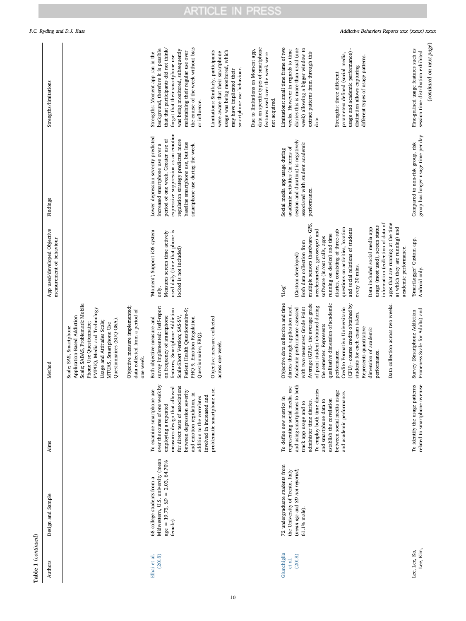| Authors                         | Design and Sample                                                                                                   | Aims                                                                                                                                                                                                                                                                            | Method                                                                                                                                                                                                                                                                              | App used/developed Objective<br>measurement of behaviour                                                                                                                                                                                                                                                       | Findings                                                                                                                                                                                                                                                           | Strengths/limitations                                                                                                                                                                                                                                                                    |
|---------------------------------|---------------------------------------------------------------------------------------------------------------------|---------------------------------------------------------------------------------------------------------------------------------------------------------------------------------------------------------------------------------------------------------------------------------|-------------------------------------------------------------------------------------------------------------------------------------------------------------------------------------------------------------------------------------------------------------------------------------|----------------------------------------------------------------------------------------------------------------------------------------------------------------------------------------------------------------------------------------------------------------------------------------------------------------|--------------------------------------------------------------------------------------------------------------------------------------------------------------------------------------------------------------------------------------------------------------------|------------------------------------------------------------------------------------------------------------------------------------------------------------------------------------------------------------------------------------------------------------------------------------------|
|                                 |                                                                                                                     |                                                                                                                                                                                                                                                                                 | Scale; SABAS, Problematic Mobile<br>PMPUQ, Media and Technology<br>Application-Based Addiction<br>Questionnaires (SUQ-G&A).<br>Usage and Attitudes Scale;<br>Phone Use Questionnaire;<br>MTUAS, Smartphone Use<br>Scale; SAS, Smartphone                                            |                                                                                                                                                                                                                                                                                                                |                                                                                                                                                                                                                                                                    |                                                                                                                                                                                                                                                                                          |
|                                 |                                                                                                                     |                                                                                                                                                                                                                                                                                 | Objective measure implemented;<br>data collected from a period of<br>one week.                                                                                                                                                                                                      |                                                                                                                                                                                                                                                                                                                |                                                                                                                                                                                                                                                                    |                                                                                                                                                                                                                                                                                          |
| (2018)<br>Elhai et al.          | Midwestern, U.S. university (mean<br>age = 19.75, $SD = 2.03$ , 64.70%<br>68 college students from a<br>female).    | over the course of one week by<br>measures design that allowed<br>for direct tests of associations<br>between depression severity<br>To examine smartphone use<br>and emotion regulation, in<br>involved in increased and<br>addition to the correlates<br>employing a repeated | survey implemented: (self-report<br>features, Smartphone Addiction<br>Patient Health Questionnaire-9;<br>Scale-Short Version; SAS-SV,<br>on frequency of smartphone<br>Both objective measure and<br>PHQ-9, Emotion Regulation<br>Questionnaire; ERQ).                              | used daily (time that phone is<br>Moment'; Support iOS system<br>Measures screen time actively<br>locked is not included)<br>only.                                                                                                                                                                             | expressive suppression as an emotion<br>Lower depression severity predicted<br>period of one week. Greater use of<br>regulation strategy predicted more<br>baseline smartphone use, but less<br>increased smartphone use over a<br>smartphone use during the week. | the course of the week without bias<br>that that participants did not think/<br>background, therefore it is possible<br>was being monitored, subsequently<br>maintaining their regular use over<br>Strengths: Moment app ran in the<br>forgot that their smartphone use<br>or influence. |
|                                 |                                                                                                                     | problematic smartphone use.                                                                                                                                                                                                                                                     | Objective measure collected<br>across one week.                                                                                                                                                                                                                                     |                                                                                                                                                                                                                                                                                                                |                                                                                                                                                                                                                                                                    | usage was being monitored, which<br>Limitations: Similarly, participants<br>were aware that their smartphone<br>smartphone use behaviour.<br>may have implicated their                                                                                                                   |
|                                 |                                                                                                                     |                                                                                                                                                                                                                                                                                 |                                                                                                                                                                                                                                                                                     |                                                                                                                                                                                                                                                                                                                |                                                                                                                                                                                                                                                                    | data on specific types of smartphone<br>Due to limitations on Moment app,<br>features used over the week were<br>not acquired.                                                                                                                                                           |
| Giunchiglia<br>(2018)<br>et al. | 72 undergraduate students from<br>(mean age and SD not reported;<br>the University of Trento, Italy<br>61.1% male). | representing social media use<br>and using smartphones to both<br>To employ both time diaries<br>To define new metrics in<br>establish the correlation<br>and smartphone data to<br>administer time diaries.<br>track app usage and to                                          | Objective data collection and time<br>Average (GPA)- the average grade<br>qualitative dimension of academic<br>diaries through application used.<br>of point student obtained during<br>Academic performance assessed<br>with two measures: Grade Point<br>the semester. Represents | multiple sensors (hardware- GPS,<br>accelerometer, gyroscope) and<br>running on device) and time<br>software (in/out calls, apps<br>Both data collection from<br>(Custom developed)<br>'iLog'                                                                                                                  | session and duration) is negatively<br>associated with student academic<br>academic activities (in terms of<br>Social media app usage during<br>performance.                                                                                                       | Limitations: small time frame of two<br>week) allowing a bigger window to<br>diaries this is more than usual (one<br>weeks. However in regards to time<br>extract patterns from through this<br>data                                                                                     |
|                                 |                                                                                                                     | between social media usage<br>and academic performance.                                                                                                                                                                                                                         | (CFU) - course credits obtained by<br>Data collection across two weeks.<br>Credito Formativo Universitario<br>students for each exam taken.<br>Represents quantitative<br>dimension of academic<br>performance.<br>performance.                                                     | information (collection of data of<br>apps that are running at the time<br>usage (most used), screen status<br>questions on activities, location<br>at which they are running) and<br>Data included social media app<br>and social relations of students<br>diaries, consisting of three-sub<br>every 30 mins. |                                                                                                                                                                                                                                                                    | usage and academic performance) -<br>parameters defined (social media,<br>different types of usage patterns.<br>distinction allows capturing<br>Strengths: three different                                                                                                               |
| Lee, Kim,<br>Lee, Lee, Ko,      |                                                                                                                     | To identify the usage patterns<br>related to smartphone overuse                                                                                                                                                                                                                 | Proneness Scale for Adults) and<br>Survey (Smartphone Addiction                                                                                                                                                                                                                     | SmartLogger' Custom app.<br>academic performance.<br>Android only.                                                                                                                                                                                                                                             | group has longer usage time per day<br>Compared to non-risk group, risk                                                                                                                                                                                            | (continued on next page)<br>Fine-grained usage features such as<br>session time distribution exhibited                                                                                                                                                                                   |

F.C. Ryding and D.J. Kuss *Addictive Behaviors Reports xxx (xxxx) xxxx*

10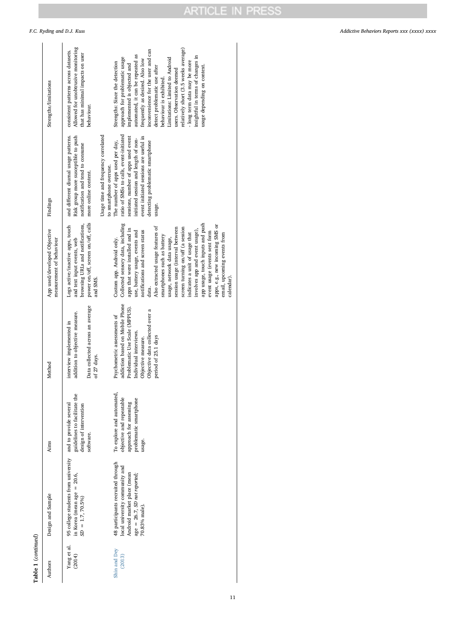|  |  | F.C. Ryding and D.J. Kuss |  |  |  |  |
|--|--|---------------------------|--|--|--|--|
|--|--|---------------------------|--|--|--|--|

| Table 1 (continued)    |                                                                                                                                                    |                                                                                                                     |                                                                                                                                                                                                            |                                                                                                                                                                                                                                                                                                                                                                                                                                                                                                                                                                                 |                                                                                                                                                                                                                                                    |                                                                                                                                                                                                                                                                                                                                                                                                                                                                                  |
|------------------------|----------------------------------------------------------------------------------------------------------------------------------------------------|---------------------------------------------------------------------------------------------------------------------|------------------------------------------------------------------------------------------------------------------------------------------------------------------------------------------------------------|---------------------------------------------------------------------------------------------------------------------------------------------------------------------------------------------------------------------------------------------------------------------------------------------------------------------------------------------------------------------------------------------------------------------------------------------------------------------------------------------------------------------------------------------------------------------------------|----------------------------------------------------------------------------------------------------------------------------------------------------------------------------------------------------------------------------------------------------|----------------------------------------------------------------------------------------------------------------------------------------------------------------------------------------------------------------------------------------------------------------------------------------------------------------------------------------------------------------------------------------------------------------------------------------------------------------------------------|
| Authors                | Design and Sample                                                                                                                                  | Aims                                                                                                                | Method                                                                                                                                                                                                     | App used/developed Objective<br>measurement of behaviour                                                                                                                                                                                                                                                                                                                                                                                                                                                                                                                        | Findings                                                                                                                                                                                                                                           | Strengths/limitations                                                                                                                                                                                                                                                                                                                                                                                                                                                            |
| Yang et al.<br>(2014)  | 95 college students from university<br>in Korea (mean age = $20.6$ ,<br>$SD = 1.7, 70.5\%$                                                         | guidelines to facilitate the<br>and to provide several<br>design of intervention<br>software.                       | Data collected across an average<br>addition to objective measure.<br>interview implemented in<br>of 27 days.                                                                                              | power on/off, screen on/off, calls<br>browsing URLs and notifications,<br>Logs active/inactive apps, touch<br>and text input events, web<br>and SMS.                                                                                                                                                                                                                                                                                                                                                                                                                            | Usage time and frequency correlated<br>Risk group more susceptible to push<br>and different diurnal usage patterns.<br>notification and tend to consume<br>to smartphone overuse.<br>more online content.                                          | Allowed for unobtrusive monitoring<br>consistent patterns across datasets.<br>that has minimal impacts on user<br>behaviour.                                                                                                                                                                                                                                                                                                                                                     |
| Shin and Dey<br>(2013) | 48 participants recruited through<br>local university community and<br>Android market place (mean<br>age = 26.7, SD not reported;<br>70.83% male). | To explore and automated,<br>objective and repeatable<br>problematic smartphone<br>approach for assessing<br>usage. | addiction based on Mobile Phone<br>Problematic Use Scale (MPPUS).<br>Objective data collected over a<br>Psychometric assessments of<br>Individual interviews.<br>period of 25.1 days<br>Objective measure. | Collected sensory data, including<br>app usage, touch inputs and push<br>apps, e.g., new incoming SMS or<br>Also extracted usage features of<br>screen turning on/off (a session<br>session usage (interval between<br>apps that were installed and in<br>involves app and event usage),<br>use, battery usage, events and<br>notifications and screen status<br>event usage (events sent form<br>indicates a unit of usage that<br>email, upcoming events from<br>smartphones such as battery<br>usage, network data usage,<br>Custom app. Android only.<br>calendar)<br>data. | ratio of SMSs to calls, event-initiated<br>sessions, number of apps used event<br>event initiated sessions are useful in<br>initiated session and length of non-<br>The number of apps used per day,<br>detecting problematic smartphone<br>usage. | relatively short (3.5 weeks average)<br>inconvenience for the user and can<br>automated, it can be repeated as<br>insightful in terms of changes in<br>approach for problematic usage<br>Limitations: Limited to Android<br>frequently as desired. Also low<br>long term data may be more<br>Strengths: Since the detection<br>implemented is objected and<br>usage depending on context<br>detect problematic use after<br>users. Observation deemed<br>behaviour is exhibited. |

F.C. Ryding and D.J. Kuss *Addictive Behaviors Reports xxx (xxxx) xxxx*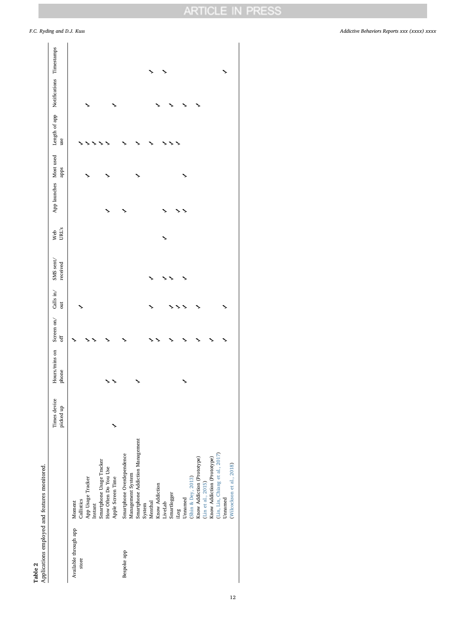# Table 2 <br>Applications employed and features monitored. Applications employed and features monitored.

|                                |                                                                                                                                                                                                                                                                                                                                                                                                                       | Times device<br>picked up | Hours/mins on<br>phone | Screen on/<br>off | Calls in/<br>out | SMS sent/<br>received | URL's<br>Web | App launches Most used<br>apps | Length of app Notifications Timestamps<br>use |  |
|--------------------------------|-----------------------------------------------------------------------------------------------------------------------------------------------------------------------------------------------------------------------------------------------------------------------------------------------------------------------------------------------------------------------------------------------------------------------|---------------------------|------------------------|-------------------|------------------|-----------------------|--------------|--------------------------------|-----------------------------------------------|--|
| Available through app<br>store | Smartphone Usage Tracker<br>How Often Do You Use<br>App Usage Tracker<br>Apple Screen Time<br>Callistics<br>Moment<br>Instant                                                                                                                                                                                                                                                                                         |                           |                        |                   |                  |                       |              |                                |                                               |  |
| Bespoke app                    | Smartphone Addiction Management<br>Smartphone Overdependence<br>(Lin, Lin, Chiang et al., 2017)<br>$\begin{array}{l} \text{(Lin et al., 2015)}\\ \textbf{Know Addition (Prototype)} \end{array}$<br>$\begin{array}{l} \text{(Shin \&\,Deg,\ 2013)}\\ \text{Know Addition (Prootype)} \end{array}$<br>Management System<br>Know Addiction<br>Smartlogger<br>Unnamed<br>Unnamed<br>Menthal<br>LiveLab<br>System<br>iLog |                           |                        |                   |                  |                       |              |                                |                                               |  |
|                                | (Wilcockson et al., 2018)                                                                                                                                                                                                                                                                                                                                                                                             |                           |                        |                   |                  |                       |              |                                |                                               |  |

<span id="page-11-0"></span>F.C. Ryding and D.J. Kuss *Addictive Behaviors Reports xxx (xxxx) xxxx*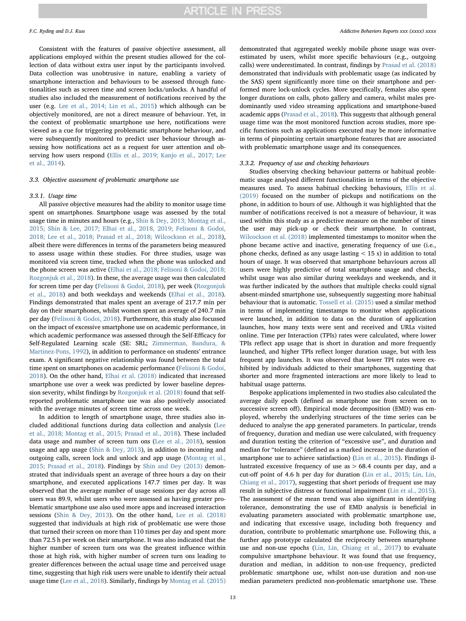Consistent with the features of passive objective assessment, all applications employed within the present studies allowed for the collection of data without extra user input by the participants involved. Data collection was unobtrusive in nature, enabling a variety of smartphone interaction and behaviours to be assessed through functionalities such as screen time and screen locks/unlocks. A handful of studies also included the measurement of notifications received by the user (e.g. [Lee et al., 2014; Lin et al., 2015](#page-16-29)) which although can be objectively monitored, are not a direct measure of behaviour. Yet, in the context of problematic smartphone use here, notifications were viewed as a cue for triggering problematic smartphone behaviour, and were subsequently monitored to predict user behaviour through assessing how notifications act as a request for user attention and observing how users respond [\(Ellis et al., 2019; Kanjo et al., 2017; Lee](#page-16-13) [et al., 2014](#page-16-13)).

#### 3.3. Objective assessment of problematic smartphone use

#### 3.3.1. Usage time

All passive objective measures had the ability to monitor usage time spent on smartphones. Smartphone usage was assessed by the total usage time in minutes and hours (e.g., [Shin & Dey, 2013; Montag et al.,](#page-17-13) [2015; Shin & Lee, 2017; Elhai et al., 2018, 2019; Felisoni & Godoi,](#page-17-13) [2018; Lee et al., 2018; Prasad et al., 2018; Wilcockson et al., 2018](#page-17-13)), albeit there were differences in terms of the parameters being measured to assess usage within these studies. For three studies, usage was monitored via screen time, tracked when the phone was unlocked and the phone screen was active [\(Elhai et al., 2018; Felisoni & Godoi, 2018;](#page-16-24) [Rozgonjuk et al., 2018](#page-16-24)). In these, the average usage was then calculated for screen time per day ([Felisoni & Godoi, 2018](#page-16-22)), per week [\(Rozgonjuk](#page-17-18) [et al., 2018](#page-17-18)) and both weekdays and weekends ([Elhai et al., 2018](#page-16-24)). Findings demonstrated that males spent an average of 217.7 min per day on their smartphones, whilst women spent an average of 240.7 min per day [\(Felisoni & Godoi, 2018](#page-16-22)). Furthermore, this study also focussed on the impact of excessive smartphone use on academic performance, in which academic performance was assessed through the Self-Efficacy for Self-Regulated Learning scale (SE: SRL; [Zimmerman, Bandura, &](#page-17-19) [Martinez-Pons, 1992](#page-17-19)), in addition to performance on students' entrance exam. A significant negative relationship was found between the total time spent on smartphones on academic performance ([Felisoni & Godoi,](#page-16-22) [2018\)](#page-16-22). On the other hand, [Elhai et al. \(2018\)](#page-16-24) indicated that increased smartphone use over a week was predicted by lower baseline depression severity, whilst findings by [Rozgonjuk et al. \(2018\)](#page-17-18) found that selfreported problematic smartphone use was also positively associated with the average minutes of screen time across one week.

In addition to length of smartphone usage, three studies also included additional functions during data collection and analysis ([Lee](#page-16-25) [et al., 2018; Montag et al., 2015; Prasad et al., 2018](#page-16-25)). These included data usage and number of screen turn ons [\(Lee et al., 2018\)](#page-16-25), session usage and app usage [\(Shin & Dey, 2013](#page-17-13)), in addition to incoming and outgoing calls, screen lock and unlock and app usage [\(Montag et al.,](#page-17-16) [2015; Prasad et al., 2018](#page-17-16)). Findings by [Shin and Dey \(2013\)](#page-17-13) demonstrated that individuals spent an average of three hours a day on their smartphone, and executed applications 147.7 times per day. It was observed that the average number of usage sessions per day across all users was 89.9, whilst users who were assessed as having greater problematic smartphone use also used more apps and increased interaction sessions ([Shin & Dey, 2013\)](#page-17-13). On the other hand, [Lee et al. \(2018\)](#page-16-25) suggested that individuals at high risk of problematic use were those that turned their screen on more than 110 times per day and spent more than 72.5 h per week on their smartphone. It was also indicated that the higher number of screen turn ons was the greatest influence within those at high risk, with higher number of screen turn ons leading to greater differences between the actual usage time and perceived usage time, suggesting that high risk users were unable to identify their actual usage time [\(Lee et al., 2018](#page-16-25)). Similarly, findings by [Montag et al. \(2015\)](#page-17-16)

demonstrated that aggregated weekly mobile phone usage was overestimated by users, whilst more specific behaviours (e.g., outgoing calls) were underestimated. In contrast, findings by [Prasad et al. \(2018\)](#page-17-17) demonstrated that individuals with problematic usage (as indicated by the SAS) spent significantly more time on their smartphone and performed more lock-unlock cycles. More specifically, females also spent longer durations on calls, photo gallery and camera, whilst males predominantly used video streaming applications and smartphone-based academic apps ([Prasad et al., 2018](#page-17-17)). This suggests that although general usage time was the most monitored function across studies, more specific functions such as applications executed may be more informative in terms of pinpointing certain smartphone features that are associated with problematic smartphone usage and its consequences.

#### 3.3.2. Frequency of use and checking behaviours

Studies observing checking behaviour patterns or habitual problematic usage analysed different functionalities in terms of the objective measures used. To assess habitual checking behaviours, [Ellis et al.](#page-16-13) [\(2019\)](#page-16-13) focused on the number of pickups and notifications on the phone, in addition to hours of use. Although it was highlighted that the number of notifications received is not a measure of behaviour, it was used within this study as a predictive measure on the number of times the user may pick-up or check their smartphone. In contrast, [Wilcockson et al. \(2018\)](#page-17-14) implemented timestamps to monitor when the phone became active and inactive, generating frequency of use (i.e., phone checks, defined as any usage lasting < 15 s) in addition to total hours of usage. It was observed that smartphone behaviours across all users were highly predictive of total smartphone usage and checks, whilst usage was also similar during weekdays and weekends, and it was further indicated by the authors that multiple checks could signal absent-minded smartphone use, subsequently suggesting more habitual behaviour that is automatic. [Tossell et al. \(2015\)](#page-17-12) used a similar method in terms of implementing timestamps to monitor when applications were launched, in addition to data on the duration of application launches, how many texts were sent and received and URLs visited online. Time per Interaction (TPIs) rates were calculated, where lower TPIs reflect app usage that is short in duration and more frequently launched, and higher TPIs reflect longer duration usage, but with less frequent app launches. It was observed that lower TPI rates were exhibited by individuals addicted to their smartphones, suggesting that shorter and more fragmented interactions are more likely to lead to habitual usage patterns.

Bespoke applications implemented in two studies also calculated the average daily epoch (defined as smartphone use from screen on to successive screen off). Empirical mode decomposition (EMD) was employed, whereby the underlying structures of the time series can be deduced to analyse the app generated parameters. In particular, trends of frequency, duration and median use were calculated, with frequency and duration testing the criterion of "excessive use", and duration and median for "tolerance" (defined as a marked increase in the duration of smartphone use to achieve satisfaction) ([Lin et al., 2015](#page-16-16)). Findings illustrated excessive frequency of use as > 68.4 counts per day, and a cut-off point of 4.6 h per day for duration [\(Lin et al., 2015; Lin, Lin,](#page-16-16) [Chiang et al., 2017](#page-16-16)), suggesting that short periods of frequent use may result in subjective distress or functional impairment ([Lin et al., 2015](#page-16-16)). The assessment of the mean trend was also significant in identifying tolerance, demonstrating the use of EMD analysis is beneficial in evaluating parameters associated with problematic smartphone use, and indicating that excessive usage, including both frequency and duration, contribute to problematic smartphone use. Following this, a further app prototype calculated the reciprocity between smartphone use and non-use epochs [\(Lin, Lin, Chiang et al., 2017\)](#page-16-28) to evaluate compulsive smartphone behaviour. It was found that use frequency, duration and median, in addition to non-use frequency, predicted problematic smartphone use, whilst non-use duration and non-use median parameters predicted non-problematic smartphone use. These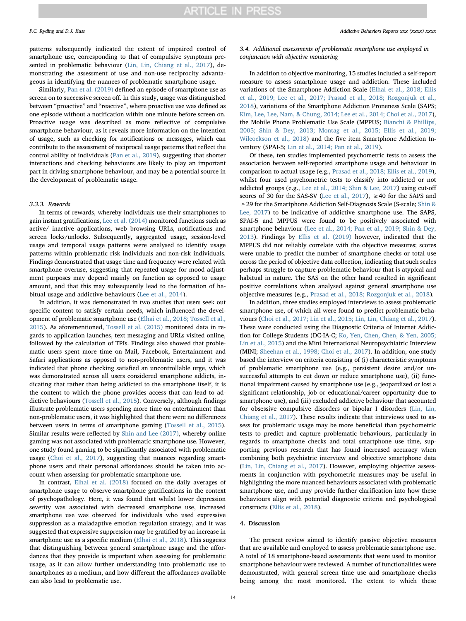patterns subsequently indicated the extent of impaired control of smartphone use, corresponding to that of compulsive symptoms presented in problematic behaviour [\(Lin, Lin, Chiang et al., 2017\)](#page-16-28), demonstrating the assessment of use and non-use reciprocity advantageous in identifying the nuances of problematic smartphone usage.

Similarly, [Pan et al. \(2019\)](#page-17-15) defined an episode of smartphone use as screen on to successive screen off. In this study, usage was distinguished between "proactive" and "reactive", where proactive use was defined as one episode without a notification within one minute before screen on. Proactive usage was described as more reflective of compulsive smartphone behaviour, as it reveals more information on the intention of usage, such as checking for notifications or messages, which can contribute to the assessment of reciprocal usage patterns that reflect the control ability of individuals [\(Pan et al., 2019](#page-17-15)), suggesting that shorter interactions and checking behaviours are likely to play an important part in driving smartphone behaviour, and may be a potential source in the development of problematic usage.

#### 3.3.3. Rewards

In terms of rewards, whereby individuals use their smartphones to gain instant gratifications, [Lee et al. \(2014\)](#page-16-29) monitored functions such as active/ inactive applications, web browsing URLs, notifications and screen locks/unlocks. Subsequently, aggregated usage, session-level usage and temporal usage patterns were analysed to identify usage patterns within problematic risk individuals and non-risk individuals. Findings demonstrated that usage time and frequency were related with smartphone overuse, suggesting that repeated usage for mood adjustment purposes may depend mainly on function as opposed to usage amount, and that this may subsequently lead to the formation of habitual usage and addictive behaviours [\(Lee et al., 2014\)](#page-16-29).

In addition, it was demonstrated in two studies that users seek out specific content to satisfy certain needs, which influenced the development of problematic smartphone use ([Elhai et al., 2018; Tossell et al.,](#page-16-24) [2015\)](#page-16-24). As aforementioned, [Tossell et al. \(2015\)](#page-17-12) monitored data in regards to application launches, text messaging and URLs visited online, followed by the calculation of TPIs. Findings also showed that problematic users spent more time on Mail, Facebook, Entertainment and Safari applications as opposed to non-problematic users, and it was indicated that phone checking satisfied an uncontrollable urge, which was demonstrated across all users considered smartphone addicts, indicating that rather than being addicted to the smartphone itself, it is the content to which the phone provides access that can lead to addictive behaviours [\(Tossell et al., 2015](#page-17-12)). Conversely, although findings illustrate problematic users spending more time on entertainment than non-problematic users, it was highlighted that there were no differences between users in terms of smartphone gaming ([Tossell et al., 2015](#page-17-12)). Similar results were reflected by Shin [and Lee \(2017\),](#page-17-3) whereby online gaming was not associated with problematic smartphone use. However, one study found gaming to be significantly associated with problematic usage [\(Choi et al., 2017\)](#page-16-23), suggesting that nuances regarding smartphone users and their personal affordances should be taken into account when assessing for problematic smartphone use.

In contrast, [Elhai et al. \(2018\)](#page-16-24) focused on the daily averages of smartphone usage to observe smartphone gratifications in the context of psychopathology. Here, it was found that whilst lower depression severity was associated with decreased smartphone use, increased smartphone use was observed for individuals who used expressive suppression as a maladaptive emotion regulation strategy, and it was suggested that expressive suppression may be gratified by an increase in smartphone use as a specific medium [\(Elhai et al., 2018\)](#page-16-24). This suggests that distinguishing between general smartphone usage and the affordances that they provide is important when assessing for problematic usage, as it can allow further understanding into problematic use to smartphones as a medium, and how different the affordances available can also lead to problematic use.

3.4. Additional assessments of problematic smartphone use employed in conjunction with objective monitoring

In addition to objective monitoring, 15 studies included a self-report measure to assess smartphone usage and addiction. These included variations of the Smartphone Addiction Scale [\(Elhai et al., 2018; Ellis](#page-16-24) [et al., 2019; Lee et al., 2017; Prasad et al., 2018; Rozgonjuk et al.,](#page-16-24) [2018\)](#page-16-24), variations of the Smartphone Addiction Proneness Scale (SAPS; [Kim, Lee, Lee, Nam, & Chung, 2014; Lee et al., 2014; Choi et al., 2017](#page-16-30)), the Mobile Phone Problematic Use Scale (MPPUS; [Bianchi & Phillips,](#page-16-31) [2005; Shin & Dey, 2013; Montag et al., 2015; Ellis et al., 2019;](#page-16-31) [Wilcockson et al., 2018](#page-16-31)) and the five item Smartphone Addiction Inventory (SPAI-5; [Lin et al., 2014; Pan et al., 2019](#page-16-32)).

Of these, ten studies implemented psychometric tests to assess the association between self-reported smartphone usage and behaviour in comparison to actual usage (e.g., [Prasad et al., 2018; Ellis et al., 2019](#page-17-17)), whilst four used psychometric tests to classify into addicted or not addicted groups (e.g., [Lee et al., 2014; Shin & Lee, 2017\)](#page-16-29) using cut-off scores of 30 for the SAS-SV ([Lee et al., 2017](#page-16-26)),  $\geq$  40 for the SAPS and ≥29 for the Smartphone Addiction Self-Diagnosis Scale (S-scale; [Shin &](#page-17-3) [Lee, 2017\)](#page-17-3) to be indicative of addictive smartphone use. The SAPS, SPAI-5 and MPPUS were found to be positively associated with smartphone behaviour [\(Lee et al., 2014; Pan et al., 2019; Shin & Dey,](#page-16-29) [2013\)](#page-16-29). Findings by [Ellis et al. \(2019\)](#page-16-13) however, indicated that the MPPUS did not reliably correlate with the objective measures; scores were unable to predict the number of smartphone checks or total use across the period of objective data collection, indicating that such scales perhaps struggle to capture problematic behaviour that is atypical and habitual in nature. The SAS on the other hand resulted in significant positive correlations when analysed against general smartphone use objective measures (e.g., [Prasad et al., 2018; Rozgonjuk et al., 2018\)](#page-17-17).

In addition, three studies employed interviews to assess problematic smartphone use, of which all were found to predict problematic behaviours ([Choi et al., 2017; Lin et al., 2015; Lin, Lin, Chiang et al., 2017](#page-16-23)). These were conducted using the Diagnostic Criteria of Internet Addiction for College Students (DC-IA-C; [Ko, Yen, Chen, Chen, & Yen, 2005;](#page-16-33) [Lin et al., 2015](#page-16-33)) and the Mini International Neuropsychiatric Interview (MINI; [Sheehan et al., 1998; Choi et al., 2017\)](#page-17-20). In addition, one study based the interview on criteria consisting of (i) characteristic symptoms of problematic smartphone use (e.g., persistent desire and/or unsuccessful attempts to cut down or reduce smartphone use), (ii) functional impairment caused by smartphone use (e.g., jeopardized or lost a significant relationship, job or educational/career opportunity due to smartphone use), and (iii) excluded addictive behaviour that accounted for obsessive compulsive disorders or bipolar I disorders ([Lin, Lin,](#page-16-28) [Chiang et al., 2017](#page-16-28)). These results indicate that interviews used to assess for problematic usage may be more beneficial than psychometric tests to predict and capture problematic behaviours, particularly in regards to smartphone checks and total smartphone use time, supporting previous research that has found increased accuracy when combining both psychiatric interview and objective smartphone data ([Lin, Lin, Chiang et al., 2017](#page-16-28)). However, employing objective assessments in conjunction with psychometric measures may be useful in highlighting the more nuanced behaviours associated with problematic smartphone use, and may provide further clarification into how these behaviours align with potential diagnostic criteria and psychological constructs ([Ellis et al., 2018](#page-16-17)).

### 4. Discussion

The present review aimed to identify passive objective measures that are available and employed to assess problematic smartphone use. A total of 18 smartphone-based assessments that were used to monitor smartphone behaviour were reviewed. A number of functionalities were demonstrated, with general screen time use and smartphone checks being among the most monitored. The extent to which these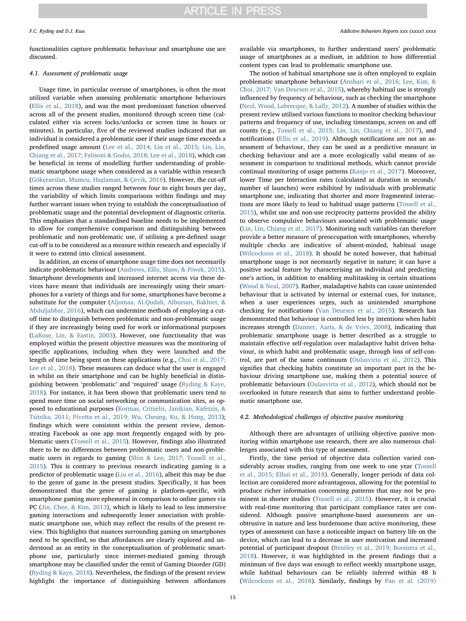functionalities capture problematic behaviour and smartphone use are discussed.

#### 4.1. Assessment of problematic usage

Usage time, in particular overuse of smartphones, is often the most utilised variable when assessing problematic smartphone behaviours ([Ellis et al., 2018](#page-16-17)), and was the most predominant function observed across all of the present studies, monitored through screen time (calculated either via screen locks/unlocks or screen time in hours or minutes). In particular, five of the reviewed studies indicated that an individual is considered a problematic user if their usage time exceeds a predefined usage amount ([Lee et al., 2014; Lin et al., 2015; Lin, Lin,](#page-16-29) [Chiang et al., 2017; Felisoni & Godoi, 2018; Lee et al., 2018\)](#page-16-29), which can be beneficial in terms of modelling further understanding of problematic smartphone usage when considered as a variable within research ([Gökçearslan, Mumcu, Ha](#page-16-34)şlaman, & Çevik, 2016). However, the cut-off times across these studies ranged between four to eight hours per day, the variability of which limits comparisons within findings and may further warrant issues when trying to establish the conceptualisation of problematic usage and the potential development of diagnostic criteria. This emphasises that a standardised baseline needs to be implemented to allow for comprehensive comparison and distinguishing between problematic and non-problematic use, if utilising a pre-defined usage cut-off is to be considered as a measure within research and especially if it were to extend into clinical assessment.

In addition, an excess of smartphone usage time does not necessarily indicate problematic behaviour [\(Andrews, Ellis, Shaw, & Piwek, 2015](#page-15-0)). Smartphone developments and increased internet access via these devices have meant that individuals are increasingly using their smartphones for a variety of things and for some, smartphones have become a substitute for the computer [\(Aljomaa, Al.Qudah, Albursan, Bakhiet, &](#page-15-1) [Abduljabbar, 2016](#page-15-1)), which can undermine methods of employing a cutoff time to distinguish between problematic and non-problematic usage if they are increasingly being used for work or informational purposes ([LaRose, Lin, & Eastin, 2003](#page-16-35)). However, one functionality that was employed within the present objective measures was the monitoring of specific applications, including when they were launched and the length of time being spent on these applications (e.g., [Choi et al., 2017;](#page-16-23) [Lee et al., 2018\)](#page-16-23). These measures can deduce what the user is engaged in whilst on their smartphone and can be highly beneficial in distinguishing between 'problematic' and 'required' usage [\(Ryding & Kaye,](#page-17-21) [2018\)](#page-17-21). For instance, it has been shown that problematic users tend to spend more time on social networking or communication sites, as opposed to educational purposes ([Kormas, Critselis, Janikian, Kafetzis, &](#page-16-36) [Tsitsika, 2011; Pivetta et al., 2019; Wu, Cheung, Ku, & Hung, 2013](#page-16-36)); findings which were consistent within the present review, demonstrating Facebook as one app most frequently engaged with by problematic users ([Tossell et al., 2015](#page-17-12)). However, findings also illustrated there to be no differences between problematic users and non-problematic users in regards to gaming ([Shin & Lee, 2017; Tossell et al.,](#page-17-3) [2015\)](#page-17-3). This is contrary to previous research indicating gaming is a predictor of problematic usage ([Liu et al., 2016\)](#page-16-7), albeit this may be due to the genre of game in the present studies. Specifically, it has been demonstrated that the genre of gaming is platform-specific, with smartphone gaming more ephemeral in comparison to online games via PC ([Jin, Chee, & Kim, 2013\)](#page-16-37), which is likely to lead to less immersive gaming interactions and subsequently lesser association with problematic smartphone use, which may reflect the results of the present review. This highlights that nuances surrounding gaming on smartphones need to be specified, so that affordances are clearly explored and understood as an entity in the conceptualisation of problematic smartphone use, particularly since internet-mediated gaming through smartphone may be classified under the remit of Gaming Disorder (GD) ([Ryding & Kaye, 2018\)](#page-17-21). Nevertheless, the findings of the present review highlight the importance of distinguishing between affordances available via smartphones, to further understand users' problematic usage of smartphones as a medium, in addition to how differential content types can lead to problematic smartphone use.

The notion of habitual smartphone use is often employed to explain problematic smartphone behaviour [\(Anshari et al., 2016; Lee, Kim, &](#page-16-38) [Choi, 2017; Van Deursen et al., 2015](#page-16-38)), whereby habitual use is strongly influenced by frequency of behaviour, such as checking the smartphone ([Neal, Wood, Labrecque, & Lally, 2012](#page-17-22)). A number of studies within the present review utilised various functions to monitor checking behaviour patterns and frequency of use, including timestamps, screen on and off counts (e.g., [Tossell et al., 2015; Lin, Lin, Chiang et al., 2017\)](#page-17-12), and notifications ([Ellis et al., 2019](#page-16-13)). Although notifications are not an assessment of behaviour, they can be used as a predictive measure in checking behaviour and are a more ecologically valid means of assessment in comparison to traditional methods, which cannot provide continual monitoring of usage patterns [\(Kanjo et al., 2017\)](#page-16-20). Moreover, lower Time per Interaction rates (calculated as duration in seconds/ number of launches) were exhibited by individuals with problematic smartphone use, indicating that shorter and more fragmented interactions are more likely to lead to habitual usage patterns [\(Tossell et al.,](#page-17-12) [2015\)](#page-17-12), whilst use and non-use reciprocity patterns provided the ability to observe compulsive behaviours associated with problematic usage ([Lin, Lin, Chiang et al., 2017\)](#page-16-28). Monitoring such variables can therefore provide a better measure of preoccupation with smartphones, whereby multiple checks are indicative of absent-minded, habitual usage ([Wilcockson et al., 2018\)](#page-17-14). It should be noted however, that habitual smartphone usage is not necessarily negative in nature; it can have a positive social feature by characterising an individual and predicting one's action, in addition to enabling multitasking in certain situations ([Wood & Neal, 2007](#page-17-23)). Rather, maladaptive habits can cause unintended behaviour that is activated by internal or external cues, for instance, when a user experiences urges, such as unintended smartphone checking for notifications ([Van Deursen et al., 2015\)](#page-17-24). Research has demonstrated that behaviour is controlled less by intentions when habit increases strength ([Danner, Aarts, & de Vries, 2008\)](#page-16-39), indicating that problematic smartphone usage is better described as a struggle to maintain effective self-regulation over maladaptive habit driven behaviour, in which habit and problematic usage, through loss of self-control, are part of the same continuum [\(Oulasvirta et al., 2012\)](#page-17-4). This signifies that checking habits constitute an important part in the behaviour driving smartphone use, making them a potential source of problematic behaviours [\(Oulasvirta et al., 2012](#page-17-4)), which should not be overlooked in future research that aims to further understand problematic smartphone use.

#### 4.2. Methodological challenges of objective passive monitoring

Although there are advantages of utilising objective passive monitoring within smartphone use research, there are also numerous challenges associated with this type of assessment.

Firstly, the time period of objective data collection varied considerably across studies, ranging from one week to one year ([Tossell](#page-17-12) [et al., 2015; Elhai et al., 2018](#page-17-12)). Generally, longer periods of data collection are considered more advantageous, allowing for the potential to produce richer information concerning patterns that may not be prominent in shorter studies ([Tossell et al., 2015\)](#page-17-12). However, it is crucial with real-time monitoring that participant compliance rates are considered. Although passive smartphone-based assessments are unobtrusive in nature and less burdensome than active monitoring, these types of assessment can have a noticeable impact on battery life on the device, which can lead to a decrease in user motivation and increased potential of participant dropout ([Bentley et al., 2019; Boonstra et al.,](#page-16-14) [2018\)](#page-16-14). However, it was highlighted in the present findings that a minimum of five days was enough to reflect weekly smartphone usage, while habitual behaviours can be reliably inferred within 48 h ([Wilcockson et al., 2018](#page-17-14)). Similarly, findings by [Pan et al. \(2019\)](#page-17-15)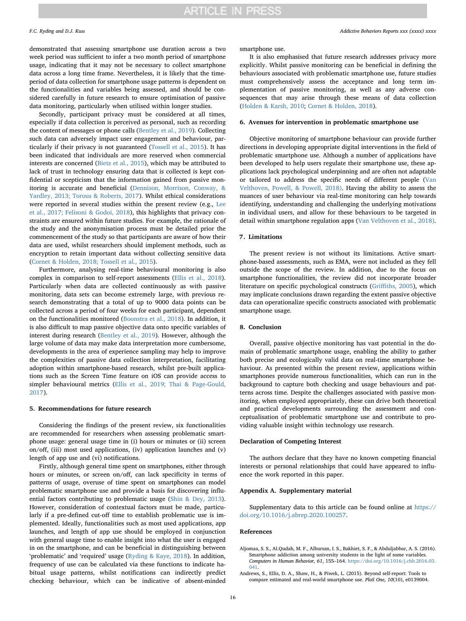demonstrated that assessing smartphone use duration across a two week period was sufficient to infer a two month period of smartphone usage, indicating that it may not be necessary to collect smartphone data across a long time frame. Nevertheless, it is likely that the timeperiod of data collection for smartphone usage patterns is dependent on the functionalities and variables being assessed, and should be considered carefully in future research to ensure optimisation of passive data monitoring, particularly when utilised within longer studies.

Secondly, participant privacy must be considered at all times, especially if data collection is perceived as personal, such as recording the content of messages or phone calls [\(Bentley et al., 2019\)](#page-16-14). Collecting such data can adversely impact user engagement and behaviour, particularly if their privacy is not guaranteed [\(Tossell et al., 2015\)](#page-17-12). It has been indicated that individuals are more reserved when commercial interests are concerned ([Bietz et al., 2015\)](#page-16-40), which may be attributed to lack of trust in technology ensuring data that is collected is kept confidential or scepticism that the information gained from passive monitoring is accurate and beneficial ([Dennison, Morrison, Conway, &](#page-16-41) [Yardley, 2013; Torous & Roberts, 2017\)](#page-16-41). Whilst ethical considerations were reported in several studies within the present review (e.g., [Lee](#page-16-26) [et al., 2017; Felisoni & Godoi, 2018](#page-16-26)), this highlights that privacy constraints are ensured within future studies. For example, the rationale of the study and the anonymisation process must be detailed prior the commencement of the study so that participants are aware of how their data are used, whilst researchers should implement methods, such as encryption to retain important data without collecting sensitive data ([Cornet & Holden, 2018; Tossell et al., 2015\)](#page-16-42).

Furthermore, analysing real-time behavioural monitoring is also complex in comparison to self-report assessments [\(Ellis et al., 2018](#page-16-17)). Particularly when data are collected continuously as with passive monitoring, data sets can become extremely large, with previous research demonstrating that a total of up to 9000 data points can be collected across a period of four weeks for each participant, dependent on the functionalities monitored ([Boonstra et al., 2018\)](#page-16-43). In addition, it is also difficult to map passive objective data onto specific variables of interest during research [\(Bentley et al., 2019\)](#page-16-14). However, although the large volume of data may make data interpretation more cumbersome, developments in the area of experience sampling may help to improve the complexities of passive data collection interpretation, facilitating adoption within smartphone-based research, whilst pre-built applications such as the Screen Time feature on iOS can provide access to simpler behavioural metrics [\(Ellis et al., 2019; Thai & Page-Gould,](#page-16-13) [2017\)](#page-16-13).

#### 5. Recommendations for future research

Considering the findings of the present review, six functionalities are recommended for researchers when assessing problematic smartphone usage: general usage time in (i) hours or minutes or (ii) screen on/off, (iii) most used applications, (iv) application launches and (v) length of app use and (vi) notifications.

Firstly, although general time spent on smartphones, either through hours or minutes, or screen on/off, can lack specificity in terms of patterns of usage, overuse of time spent on smartphones can model problematic smartphone use and provide a basis for discovering influential factors contributing to problematic usage ([Shin & Dey, 2013](#page-17-13)). However, consideration of contextual factors must be made, particularly if a pre-defined cut-off time to establish problematic use is implemented. Ideally, functionalities such as most used applications, app launches, and length of app use should be employed in conjunction with general usage time to enable insight into what the user is engaged in on the smartphone, and can be beneficial in distinguishing between 'problematic' and 'required' usage ([Ryding & Kaye, 2018\)](#page-17-21). In addition, frequency of use can be calculated via these functions to indicate habitual usage patterns, whilst notifications can indirectly predict checking behaviour, which can be indicative of absent-minded

F.C. Ryding and D.J. Kuss *Addictive Behaviors Reports xxx (xxxx) xxxx*

smartphone use.

It is also emphasised that future research addresses privacy more explicitly. Whilst passive monitoring can be beneficial in defining the behaviours associated with problematic smartphone use, future studies must comprehensively assess the acceptance and long term implementation of passive monitoring, as well as any adverse consequences that may arise through these means of data collection ([Holden & Karsh, 2010;](#page-16-44) [Cornet & Holden, 2018\)](#page-16-42).

## 6. Avenues for intervention in problematic smartphone use

Objective monitoring of smartphone behaviour can provide further directions in developing appropriate digital interventions in the field of problematic smartphone use. Although a number of applications have been developed to help users regulate their smartphone use, these applications lack psychological underpinning and are often not adaptable or tailored to address the specific needs of different people ([Van](#page-17-25) [Velthoven, Powell, & Powell, 2018\).](#page-17-25) Having the ability to assess the nuances of user behaviour via real-time monitoring can help towards identifying, understanding and challenging the underlying motivations in individual users, and allow for these behaviours to be targeted in detail within smartphone regulation apps ([Van Velthoven et al., 2018\)](#page-17-25).

## 7. Limitations

The present review is not without its limitations. Active smartphone-based assessments, such as EMA, were not included as they fell outside the scope of the review. In addition, due to the focus on smartphone functionalities, the review did not incorporate broader literature on specific psychological constructs (Griffi[ths, 2005\)](#page-16-5), which may implicate conclusions drawn regarding the extent passive objective data can operationalize specific constructs associated with problematic smartphone usage.

## 8. Conclusion

Overall, passive objective monitoring has vast potential in the domain of problematic smartphone usage, enabling the ability to gather both precise and ecologically valid data on real-time smartphone behaviour. As presented within the present review, applications within smartphones provide numerous functionalities, which can run in the background to capture both checking and usage behaviours and patterns across time. Despite the challenges associated with passive monitoring, when employed appropriately, these can drive both theoretical and practical developments surrounding the assessment and conceptualisation of problematic smartphone use and contribute to providing valuable insight within technology use research.

## Declaration of Competing Interest

The authors declare that they have no known competing financial interests or personal relationships that could have appeared to influence the work reported in this paper.

#### Appendix A. Supplementary material

Supplementary data to this article can be found online at [https://](https://doi.org/10.1016/j.abrep.2020.100257) [doi.org/10.1016/j.abrep.2020.100257.](https://doi.org/10.1016/j.abrep.2020.100257)

### References

<span id="page-15-1"></span>Aljomaa, S. S., Al.Qudah, M. F., Albursan, I. S., Bakhiet, S. F., & Abduljabbar, A. S. (2016). Smartphone addiction among university students in the light of some variables. Computers in Human Behavior, 61, 155–164. [https://doi.org/10.1016/j.chb.2016.03.](https://doi.org/10.1016/j.chb.2016.03.041) [041](https://doi.org/10.1016/j.chb.2016.03.041).

<span id="page-15-0"></span>Andrews, S., Ellis, D. A., Shaw, H., & Piwek, L. (2015). Beyond self-report: Tools to compare estimated and real-world smartphone use. PloS One, 10(10), e0139004.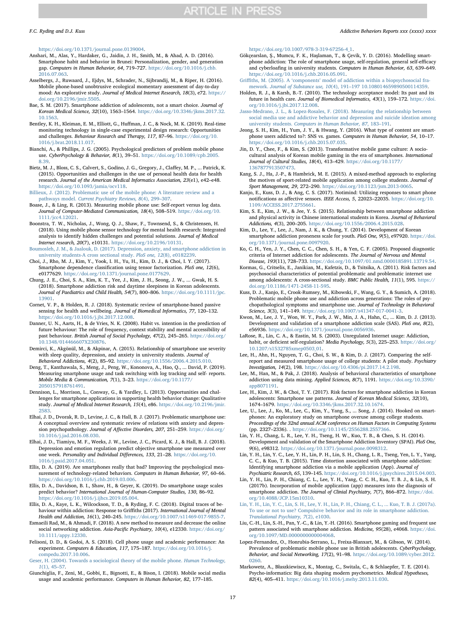<https://doi.org/10.1371/journal.pone.0139004>.

- <span id="page-16-38"></span>Anshari, M., Alas, Y., Hardaker, G., Jaidin, J. H., Smith, M., & Ahad, A. D. (2016). Smartphone habit and behavior in Brunei: Personalization, gender, and generation gap. Computers in Human Behavior, 64, 719–727. [https://doi.org/10.1016/j.chb.](https://doi.org/10.1016/j.chb.2016.07.063) [2016.07.063](https://doi.org/10.1016/j.chb.2016.07.063).
- <span id="page-16-19"></span>Asselbergs, J., Ruwaard, J., Ejdys, M., Schrader, N., Sijbrandij, M., & Riper, H. (2016). Mobile phone-based unobtrusive ecological momentary assessment of day-to-day mood: An explorative study. Journal of Medical Internet Research, 18(3), e72. [https://](https://doi.org/10.2196/jmir.5505) [doi.org/10.2196/jmir.5505](https://doi.org/10.2196/jmir.5505).
- <span id="page-16-4"></span>Bae, S. M. (2017). Smartphone addiction of adolescents, not a smart choice. Journal of Korean Medical Science, 32(10), 1563–1564. [https://doi.org/10.3346/jkms.2017.32.](https://doi.org/10.3346/jkms.2017.32.10.1563) [10.1563.](https://doi.org/10.3346/jkms.2017.32.10.1563)
- <span id="page-16-14"></span>Bentley, K. H., Kleiman, E. M., Elliott, G., Huffman, J. C., & Nock, M. K. (2019). Real-time monitoring technology in single-case experimental design research: Opportunities and challenges. Behaviour Research and Therapy, 117, 87–96. [https://doi.org/10.](https://doi.org/10.1016/j.brat.2018.11.017) [1016/j.brat.2018.11.017.](https://doi.org/10.1016/j.brat.2018.11.017)
- <span id="page-16-31"></span>Bianchi, A., & Phillips, J. G. (2005). Psychological predictors of problem mobile phone use. CyberPsychology & Behavior, 8(1), 39–51. [https://doi.org/10.1089/cpb.2005.](https://doi.org/10.1089/cpb.2005.8.39) [8.39](https://doi.org/10.1089/cpb.2005.8.39).
- <span id="page-16-40"></span>Bietz, M. J., Bloss, C. S., Calvert, S., Godino, J. G., Gregory, J., Claffey, M. P., ... Patrick, K. (2015). Opportunities and challenges in the use of personal health data for health research. Journal of the American Medical Informatics Association, 23(e1), e42–e48. [https://doi.org/10.1093/jamia/ocv118.](https://doi.org/10.1093/jamia/ocv118)
- <span id="page-16-0"></span>[Billieux, J. \(2012\). Problematic use of the mobile phone: A literature review and a](http://refhub.elsevier.com/S2352-8532(19)30186-5/h0045) pathways model. [Current Psychiatry Reviews, 8](http://refhub.elsevier.com/S2352-8532(19)30186-5/h0045)(4), 299–307.
- <span id="page-16-15"></span>Boase, J., & Ling, R. (2013). Measuring mobile phone use: Self-report versus log data. Journal of Computer-Mediated Communication, 18(4), 508–519. [https://doi.org/10.](https://doi.org/10.1111/jcc4.12021) [1111/jcc4.12021](https://doi.org/10.1111/jcc4.12021).
- <span id="page-16-43"></span>Boonstra, T. W., Nicholas, J., Wong, Q. J., Shaw, F., Townsend, S., & Christensen, H. (2018). Using mobile phone sensor technology for mental health research: Integrated analysis to identify hidden challenges and potential solutions. Journal of Medical Internet research, 20(7), e10131. <https://doi.org/10.2196/10131>.
- <span id="page-16-12"></span>[Boumosleh, J. M., & Jaalouk, D. \(2017\). Depression, anxiety, and smartphone addiction in](http://refhub.elsevier.com/S2352-8532(19)30186-5/h0060) [university students-A cross sectional study.](http://refhub.elsevier.com/S2352-8532(19)30186-5/h0060) PloS one, 12(8), e0182239.
- <span id="page-16-23"></span>Choi, J., Rho, M. J., Kim, Y., Yook, I. H., Yu, H., Kim, D. J., & Choi, I. Y. (2017). Smartphone dependence classification using tensor factorization. PloS one, 12(6), e0177629. <https://doi.org/10.1371/journal.pone.0177629>.
- Chung, J. E., Choi, S. A., Kim, K. T., Yee, J., Kim, J. H., Seong, J. W., ... Gwak, H. S. (2018). Smartphone addiction risk and daytime sleepiness in Korean adolescents. Journal of Paediatrics and Child Health, 54(7), 800–806. [https://doi.org/10.1111/jpc.](https://doi.org/10.1111/jpc.13901) [13901.](https://doi.org/10.1111/jpc.13901)
- <span id="page-16-42"></span>Cornet, V. P., & Holden, R. J. (2018). Systematic review of smartphone-based passive sensing for health and wellbeing. Journal of Biomedical Informatics, 77, 120–132.<br><https://doi.org/10.1016/j.jbi.2017.12.008>.
- <span id="page-16-39"></span>Danner, U. N., Aarts, H., & de Vries, N. K. (2008). Habit vs. intention in the prediction of future behaviour: The role of frequency, context stability and mental accessibility of past behaviour. British Journal of Social Psychology, 47(2), 245–265. [https://doi.org/](https://doi.org/10.1348/014466607X230876) [10.1348/014466607X230876.](https://doi.org/10.1348/014466607X230876)
- <span id="page-16-2"></span>Demirci, K., Akgönül, M., & Akpinar, A. (2015). Relationship of smartphone use severity with sleep quality, depression, and anxiety in university students. Journal of
- <span id="page-16-18"></span>Behavioral Addictions, 4(2), 85–92. [https://doi.org/10.1556/2006.4.2015.010.](https://doi.org/10.1556/2006.4.2015.010) Deng, T., Kanthawala, S., Meng, J., Peng, W., Kononova, A., Hao, Q., ... David, P. (2019). Measuring smartphone usage and task switching with log tracking and self- reports. Mobile Media & Communication, 7(1), 3–23. [https://doi.org/10.1177/](https://doi.org/10.1177/2050157918761491) [2050157918761491.](https://doi.org/10.1177/2050157918761491)
- <span id="page-16-41"></span>Dennison, L., Morrison, L., Conway, G., & Yardley, L. (2013). Opportunities and challenges for smartphone applications in supporting health behavior change: Qualitative study. Journal of Medical Internet Research, 15(4), e86. [https://doi.org/10.2196/jmir.](https://doi.org/10.2196/jmir.2583) [2583.](https://doi.org/10.2196/jmir.2583)
- <span id="page-16-1"></span>Elhai, J. D., Dvorak, R. D., Levine, J. C., & Hall, B. J. (2017). Problematic smartphone use: A conceptual overview and systematic review of relations with anxiety and depression psychopathology. Journal of Affective Disorders, 207, 251–259. [https://doi.org/](https://doi.org/10.1016/j.jad.2016.08.030) [10.1016/j.jad.2016.08.030](https://doi.org/10.1016/j.jad.2016.08.030).
- <span id="page-16-24"></span>Elhai, J. D., Tiamiyu, M. F., Weeks, J. W., Levine, J. C., Picard, K. J., & Hall, B. J. (2018). Depression and emotion regulation predict objective smartphone use measured over one week. Personality and Individual Differences, 133, 21–28. [https://doi.org/10.](https://doi.org/10.1016/j.paid.2017.04.051) [1016/j.paid.2017.04.051.](https://doi.org/10.1016/j.paid.2017.04.051)
- <span id="page-16-8"></span>Ellis, D. A. (2019). Are smartphones really that bad? Improving the psychological measurement of technology-related behaviors. Computers in Human Behavior, 97, 60–66. [https://doi.org/10.1016/j.chb.2019.03.006.](https://doi.org/10.1016/j.chb.2019.03.006)
- <span id="page-16-13"></span>Ellis, D. A., Davidson, B. I., Shaw, H., & Geyer, K. (2019). Do smartphone usage scales predict behavior? International Journal of Human-Computer Studies, 130, 86–92. [https://doi.org/10.1016/j.ijhcs.2019.05.004.](https://doi.org/10.1016/j.ijhcs.2019.05.004)
- <span id="page-16-17"></span>Ellis, D. A., Kaye, L. K., Wilcockson, T. D., & Ryding, F. C. (2018). Digital traces of behaviour within addiction: Response to Griffiths (2017). International Journal of Mental Health and Addiction, 16(1), 240–245. <https://doi.org/10.1007/s11469-017-9855-7>.
- Esmaeili Rad, M., & Ahmadi, F. (2018). A new method to measure and decrease the online social networking addiction. Asia-Pacific Psychiatry, 10(4), e12330. [https://doi.org/](https://doi.org/10.1111/appy.12330) [10.1111/appy.12330](https://doi.org/10.1111/appy.12330).
- <span id="page-16-22"></span>Felisoni, D. D., & Godoi, A. S. (2018). Cell phone usage and academic performance: An experiment. Computers & Education, 117, 175–187. [https://doi.org/10.1016/j.](https://doi.org/10.1016/j.compedu.2017.10.006) [compedu.2017.10.006.](https://doi.org/10.1016/j.compedu.2017.10.006)
- [Geser, H. \(2004\). Towards a sociological theory of the mobile phone.](http://refhub.elsevier.com/S2352-8532(19)30186-5/h0135) Human Technology, 1[\(1\), 45](http://refhub.elsevier.com/S2352-8532(19)30186-5/h0135)–57.
- <span id="page-16-6"></span>Giunchiglia, F., Zeni, M., Gobbi, E., Bignotti, E., & Bison, I. (2018). Mobile social media usage and academic performance. Computers in Human Behavior, 82, 177–185.

#### [https://doi.org/10.1007/978-3-319-67256-4\\_1.](https://doi.org/10.1007/978-3-319-67256-4_1)

- <span id="page-16-34"></span>Gökçearslan, Ş., Mumcu, F. K., Haşlaman, T., & Çevik, Y. D. (2016). Modelling smartphone addiction: The role of smartphone usage, self-regulation, general self-efficacy and cyberloafing in university students. Computers in Human Behavior, 63, 639–649. [https://doi.org/10.1016/j.chb.2016.05.091.](https://doi.org/10.1016/j.chb.2016.05.091)
- <span id="page-16-5"></span>Griffiths, M. (2005). A 'components' [model of addiction within a biopsychosocial fra](http://refhub.elsevier.com/S2352-8532(19)30186-5/h0150)mework. Journal of Substance use, 10(4), 191–[197 10.108014659890500114359.](http://refhub.elsevier.com/S2352-8532(19)30186-5/h0150)
- <span id="page-16-44"></span>Holden, R. J., & Karsh, B.-T. (2010). The technology acceptance model: Its past and its future in health care. Journal of Biomedical Informatics, 43(1), 159–172. [https://doi.](https://doi.org/10.1016/j.jbi.2017.12.008) [org/10.1016/j.jbi.2017.12.008](https://doi.org/10.1016/j.jbi.2017.12.008).
- [Jasso-Medrano, J. L., & Lopez-Rosales, F. \(2018\). Measuring the relationship between](http://refhub.elsevier.com/S2352-8532(19)30186-5/h0155) [social media use and addictive behavior and depression and suicide ideation among](http://refhub.elsevier.com/S2352-8532(19)30186-5/h0155) university students. [Computers in Human Behavior, 87](http://refhub.elsevier.com/S2352-8532(19)30186-5/h0155), 183–191.
- Jeong, S. H., Kim, H., Yum, J. Y., & Hwang, Y. (2016). What type of content are smartphone users addicted to?: SNS vs. games. Computers in Human Behavior, 54, 10–17. [https://doi.org/10.1016/j.chb.2015.07.035.](https://doi.org/10.1016/j.chb.2015.07.035)
- <span id="page-16-37"></span>Jin, D. Y., Chee, F., & Kim, S. (2013). Transformative mobile game culture: A sociocultural analysis of Korean mobile gaming in the era of smartphones. International Journal of Cultural Studies, 18(4), 413–429. [https://doi.org/10.1177/](https://doi.org/10.1177/1367877913507473) [1367877913507473.](https://doi.org/10.1177/1367877913507473)
- <span id="page-16-9"></span>Kang, S. J., Ha, J.-P., & Hambrick, M. E. (2015). A mixed-method approach to exploring the motives of sport-related mobile application among college students. Journal of Sport Management, 29, 272–290. <https://doi.org/10.1123/jsm.2013-0065>.
- <span id="page-16-20"></span>Kanjo, E., Kuss, D. J., & Ang, C. S. (2017). Notimind: Utilizing responses to smart phone notifications as affective sensors. IEEE Access, 5, 22023–22035. [https://doi.org/10.](https://doi.org/10.1109/ACCESS.2017.2755661) [1109/ACCESS.2017.2755661.](https://doi.org/10.1109/ACCESS.2017.2755661)
- <span id="page-16-3"></span>Kim, S. E., Kim, J. W., & Jee, Y. S. (2015). Relationship between smartphone addiction and physical activity in Chinese international students in Korea. Journal of Behavioral Addictions, 4(3), 200–205. <https://doi.org/10.1556/2006.4.2015.028>.
- <span id="page-16-30"></span>Kim, D., Lee, Y., Lee, J., Nam, J. K., & Chung, Y. (2014). Development of Korean smartphone addiction proneness scale for youth. PloS One, 9(5), e97920. [https://doi.](https://doi.org/10.1371/journal.pone.0097920) [org/10.1371/journal.pone.0097920](https://doi.org/10.1371/journal.pone.0097920).
- <span id="page-16-33"></span>Ko, C. H., Yen, J. Y., Chen, C. C., Chen, S. H., & Yen, C. F. (2005). Proposed diagnostic criteria of Internet addiction for adolescents. The Journal of Nervous and Mental Disease, 193(11), 728–733. [https://doi.org/10.1097/01.nmd.0000185891.13719.54.](https://doi.org/10.1097/01.nmd.0000185891.13719.54)
- <span id="page-16-36"></span>Kormas, G., Critselis, E., Janikian, M., Kafetzis, D., & Tsitsika, A. (2011). Risk factors and psychosocial characteristics of potential problematic and problematic internet use among adolescents: A cross-sectional study. BMC Public Health, 11(1), 595. [https://](https://doi.org/10.1186/1471-2458-11-595) [doi.org/10.1186/1471-2458-11-595](https://doi.org/10.1186/1471-2458-11-595).
- <span id="page-16-10"></span>Kuss, D. J., Kanjo, E., Crook-Rumsey, M., Kibowski, F., Wang, G. Y., & Sumich, A. (2018). Problematic mobile phone use and addiction across generations: The roles of psychopathological symptoms and smartphone use. Journal of Technology in Behavioral
- <span id="page-16-11"></span>Science, 3(3), 141–149. [https://doi.org/10.1007/s41347-017-0041-3.](https://doi.org/10.1007/s41347-017-0041-3) Kwon, M., Lee, J. Y., Won, W. Y., Park, J. W., Min, J. A., Hahn, C., ... Kim, D. J. (2013). Development and validation of a smartphone addiction scale (SAS). PloS one, 8(2), e56936. [https://doi.org/10.1371/journal.pone.0056936.](https://doi.org/10.1371/journal.pone.0056936)
- <span id="page-16-35"></span>LaRose, R., Lin, C. A., & Eastin, M. S. (2003). Unregulated Internet usage: Addiction, habit, or deficient self-regulation? Media Psychology, 5(3), 225–253. [https://doi.org/](https://doi.org/10.1207/s1532785xmep0503_01) [10.1207/s1532785xmep0503\\_01.](https://doi.org/10.1207/s1532785xmep0503_01)
- <span id="page-16-26"></span>Lee, H., Ahn, H., Nguyen, T. G., Choi, S. W., & Kim, D. J. (2017). Comparing the selfreport and measured smartphone usage of college students: A pilot study. Psychiatry Investigation, 14(2), 198. <https://doi.org/10.4306/pi.2017.14.2.198>.
- <span id="page-16-25"></span>Lee, M., Han, M., & Pak, J. (2018). Analysis of behavioral characteristics of smartphone addiction using data mining. Applied Sciences, 8(7), 1191. [https://doi.org/10.3390/](https://doi.org/10.3390/app8071191) [app8071191](https://doi.org/10.3390/app8071191).
- Lee, H., Kim, J. W., & Choi, T. Y. (2017). Risk factors for smartphone addiction in Korean adolescents: Smartphone use patterns. Journal of Korean Medical Science, 32(10), 1674–1679. [https://doi.org/10.3346/jkms.2017.32.10.1674.](https://doi.org/10.3346/jkms.2017.32.10.1674)
- <span id="page-16-29"></span>Lee, U., Lee, J., Ko, M., Lee, C., Kim, Y., Yang, S., ... Song, J. (2014). Hooked on smartphones: An exploratory study on smartphone overuse among college students. Proceedings of the 32nd annual ACM conference on Human Factors in Computing Systems (pp. 2327–2336). . [https://doi.org/10.1145/2556288.2557366.](https://doi.org/10.1145/2556288.2557366)
- <span id="page-16-32"></span>Lin, Y. H., Chang, L. R., Lee, Y. H., Tseng, H. W., Kuo, T. B., & Chen, S. H. (2014). Development and validation of the Smartphone Addiction Inventory (SPAI). PloS One, 9(6), e98312. [https://doi.org/10.1371/journal.pone.0098312.](https://doi.org/10.1371/journal.pone.0098312)
- <span id="page-16-16"></span>Lin, Y. H., Lin, Y. C., Lee, Y. H., Lin, P. H., Lin, S. H., Chang, L. R., Tseng, Yen, L. Y., Yang, C. C., & Kuo, T. B. (2015). Time distortion associated with smartphone addiction: Identifying smartphone addiction via a mobile application (App). Journal of Psychiatric Research, 65, 139–145. [https://doi.org/10.1016/j.jpsychires.2015.04.003.](https://doi.org/10.1016/j.jpsychires.2015.04.003)
- <span id="page-16-28"></span>Lin, Y. H., Lin, P. H., Chiang, C. L., Lee, Y. H., Yang, C. C. H., Kuo, T. B. J., & Lin, S. H. (2017b). Incorporation of mobile application (app) measures into the diagnosis of smartphone addiction. The Journal of Clinial Psychiatry, 7(7), 866-872. [https://doi.](https://doi.org/10.4088/JCP.15m10310) [org/10.4088/JCP.15m10310.](https://doi.org/10.4088/JCP.15m10310)
- <span id="page-16-27"></span>[Lin, Y. H., Lin, Y. C., Lin, S. H., Lee, Y. H., Lin, P. H., Chiang, C. L., ... Kuo, T. B. J. \(2017a\).](http://refhub.elsevier.com/S2352-8532(19)30186-5/h0255) [To use or not to use? Compulsive behavior and its role in smartphone addiction.](http://refhub.elsevier.com/S2352-8532(19)30186-5/h0255) [Translational Psychiatry, 7](http://refhub.elsevier.com/S2352-8532(19)30186-5/h0255)(2), e1030.
- <span id="page-16-7"></span>Liu, C.-H., Lin, S.-H., Pan, Y.-C., & Lin, Y.-H. (2016). Smartphone gaming and frequent use pattern associated with smartphone addiction. Medicine, 95(28), e4068. [https://doi.](https://doi.org/10.1097/MD.0000000000004068) [org/10.1097/MD.0000000000004068.](https://doi.org/10.1097/MD.0000000000004068)
- Lopez-Fernandez, O., Honrubia-Serrano, L., Freixa-Blanxart, M., & Gibson, W. (2014). Prevalence of problematic mobile phone use in British adolescents. CyberPsychology, Behavior, and Social Networking, 17(2), 91–98. [https://doi.org/10.1089/cyber.2012.](https://doi.org/10.1089/cyber.2012.0260) [0260.](https://doi.org/10.1089/cyber.2012.0260)
- <span id="page-16-21"></span>Markowetz, A., Błaszkiewiscz, K., Montag, C., Switala, C., & Schlaepfer, T. E. (2014). Psycho-informatics: Big data shaping modern psychometrics. Medical Hypotheses, 82(4), 405–411. <https://doi.org/10.1016/j.mehy.2013.11.030>.